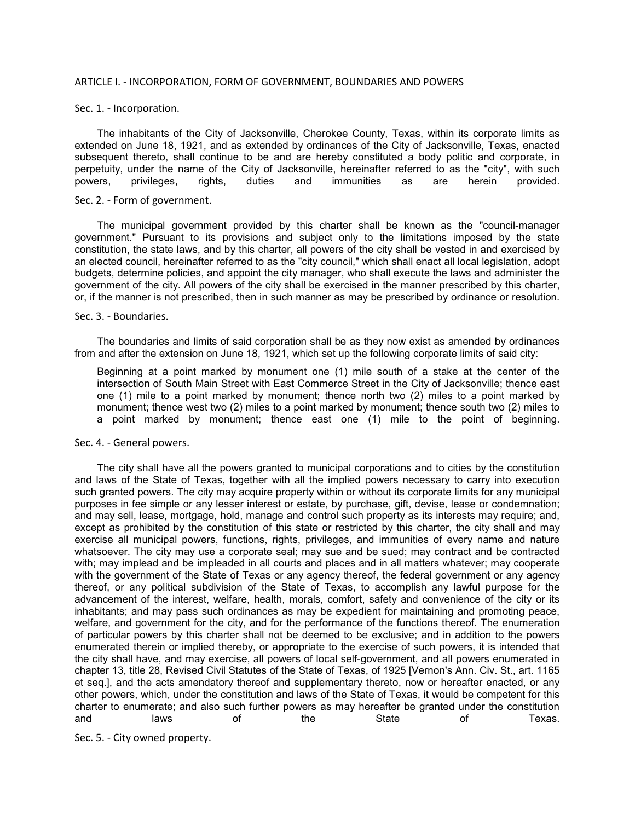#### ARTICLE I. - INCORPORATION, FORM OF GOVERNMENT, BOUNDARIES AND POWERS

### Sec. 1. - Incorporation.

The inhabitants of the City of Jacksonville, Cherokee County, Texas, within its corporate limits as extended on June 18, 1921, and as extended by ordinances of the City of Jacksonville, Texas, enacted subsequent thereto, shall continue to be and are hereby constituted a body politic and corporate, in perpetuity, under the name of the City of Jacksonville, hereinafter referred to as the "city", with such powers, privileges, rights, duties and immunities as are herein provided.

## Sec. 2. - Form of government.

The municipal government provided by this charter shall be known as the "council-manager government." Pursuant to its provisions and subject only to the limitations imposed by the state constitution, the state laws, and by this charter, all powers of the city shall be vested in and exercised by an elected council, hereinafter referred to as the "city council," which shall enact all local legislation, adopt budgets, determine policies, and appoint the city manager, who shall execute the laws and administer the government of the city. All powers of the city shall be exercised in the manner prescribed by this charter, or, if the manner is not prescribed, then in such manner as may be prescribed by ordinance or resolution.

#### Sec. 3. - Boundaries.

The boundaries and limits of said corporation shall be as they now exist as amended by ordinances from and after the extension on June 18, 1921, which set up the following corporate limits of said city:

Beginning at a point marked by monument one (1) mile south of a stake at the center of the intersection of South Main Street with East Commerce Street in the City of Jacksonville; thence east one (1) mile to a point marked by monument; thence north two (2) miles to a point marked by monument; thence west two (2) miles to a point marked by monument; thence south two (2) miles to a point marked by monument; thence east one (1) mile to the point of beginning.

#### Sec. 4. - General powers.

The city shall have all the powers granted to municipal corporations and to cities by the constitution and laws of the State of Texas, together with all the implied powers necessary to carry into execution such granted powers. The city may acquire property within or without its corporate limits for any municipal purposes in fee simple or any lesser interest or estate, by purchase, gift, devise, lease or condemnation; and may sell, lease, mortgage, hold, manage and control such property as its interests may require; and, except as prohibited by the constitution of this state or restricted by this charter, the city shall and may exercise all municipal powers, functions, rights, privileges, and immunities of every name and nature whatsoever. The city may use a corporate seal; may sue and be sued; may contract and be contracted with; may implead and be impleaded in all courts and places and in all matters whatever; may cooperate with the government of the State of Texas or any agency thereof, the federal government or any agency thereof, or any political subdivision of the State of Texas, to accomplish any lawful purpose for the advancement of the interest, welfare, health, morals, comfort, safety and convenience of the city or its inhabitants; and may pass such ordinances as may be expedient for maintaining and promoting peace, welfare, and government for the city, and for the performance of the functions thereof. The enumeration of particular powers by this charter shall not be deemed to be exclusive; and in addition to the powers enumerated therein or implied thereby, or appropriate to the exercise of such powers, it is intended that the city shall have, and may exercise, all powers of local self-government, and all powers enumerated in chapter 13, title 28, Revised Civil Statutes of the State of Texas, of 1925 [Vernon's Ann. Civ. St., art. 1165 et seq.], and the acts amendatory thereof and supplementary thereto, now or hereafter enacted, or any other powers, which, under the constitution and laws of the State of Texas, it would be competent for this charter to enumerate; and also such further powers as may hereafter be granted under the constitution<br>and laws of the State of Texas. and laws of the State of Texas.

Sec. 5. - City owned property.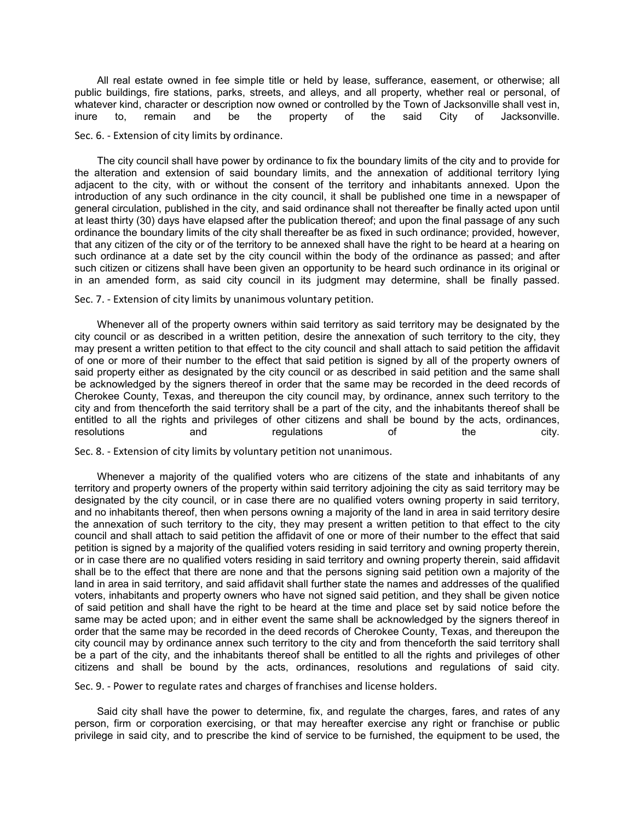All real estate owned in fee simple title or held by lease, sufferance, easement, or otherwise; all public buildings, fire stations, parks, streets, and alleys, and all property, whether real or personal, of whatever kind, character or description now owned or controlled by the Town of Jacksonville shall vest in,<br>
inure to remain and be the property of the said City of Jacksonville. inure to, remain and be the property of the said City of Jacksonville.

# Sec. 6. - Extension of city limits by ordinance.

The city council shall have power by ordinance to fix the boundary limits of the city and to provide for the alteration and extension of said boundary limits, and the annexation of additional territory lying adjacent to the city, with or without the consent of the territory and inhabitants annexed. Upon the introduction of any such ordinance in the city council, it shall be published one time in a newspaper of general circulation, published in the city, and said ordinance shall not thereafter be finally acted upon until at least thirty (30) days have elapsed after the publication thereof; and upon the final passage of any such ordinance the boundary limits of the city shall thereafter be as fixed in such ordinance; provided, however, that any citizen of the city or of the territory to be annexed shall have the right to be heard at a hearing on such ordinance at a date set by the city council within the body of the ordinance as passed; and after such citizen or citizens shall have been given an opportunity to be heard such ordinance in its original or in an amended form, as said city council in its judgment may determine, shall be finally passed.

#### Sec. 7. - Extension of city limits by unanimous voluntary petition.

Whenever all of the property owners within said territory as said territory may be designated by the city council or as described in a written petition, desire the annexation of such territory to the city, they may present a written petition to that effect to the city council and shall attach to said petition the affidavit of one or more of their number to the effect that said petition is signed by all of the property owners of said property either as designated by the city council or as described in said petition and the same shall be acknowledged by the signers thereof in order that the same may be recorded in the deed records of Cherokee County, Texas, and thereupon the city council may, by ordinance, annex such territory to the city and from thenceforth the said territory shall be a part of the city, and the inhabitants thereof shall be entitled to all the rights and privileges of other citizens and shall be bound by the acts, ordinances, resolutions and regulations of the city.

Sec. 8. - Extension of city limits by voluntary petition not unanimous.

Whenever a majority of the qualified voters who are citizens of the state and inhabitants of any territory and property owners of the property within said territory adjoining the city as said territory may be designated by the city council, or in case there are no qualified voters owning property in said territory, and no inhabitants thereof, then when persons owning a majority of the land in area in said territory desire the annexation of such territory to the city, they may present a written petition to that effect to the city council and shall attach to said petition the affidavit of one or more of their number to the effect that said petition is signed by a majority of the qualified voters residing in said territory and owning property therein, or in case there are no qualified voters residing in said territory and owning property therein, said affidavit shall be to the effect that there are none and that the persons signing said petition own a majority of the land in area in said territory, and said affidavit shall further state the names and addresses of the qualified voters, inhabitants and property owners who have not signed said petition, and they shall be given notice of said petition and shall have the right to be heard at the time and place set by said notice before the same may be acted upon; and in either event the same shall be acknowledged by the signers thereof in order that the same may be recorded in the deed records of Cherokee County, Texas, and thereupon the city council may by ordinance annex such territory to the city and from thenceforth the said territory shall be a part of the city, and the inhabitants thereof shall be entitled to all the rights and privileges of other citizens and shall be bound by the acts, ordinances, resolutions and regulations of said city.

Sec. 9. - Power to regulate rates and charges of franchises and license holders.

Said city shall have the power to determine, fix, and regulate the charges, fares, and rates of any person, firm or corporation exercising, or that may hereafter exercise any right or franchise or public privilege in said city, and to prescribe the kind of service to be furnished, the equipment to be used, the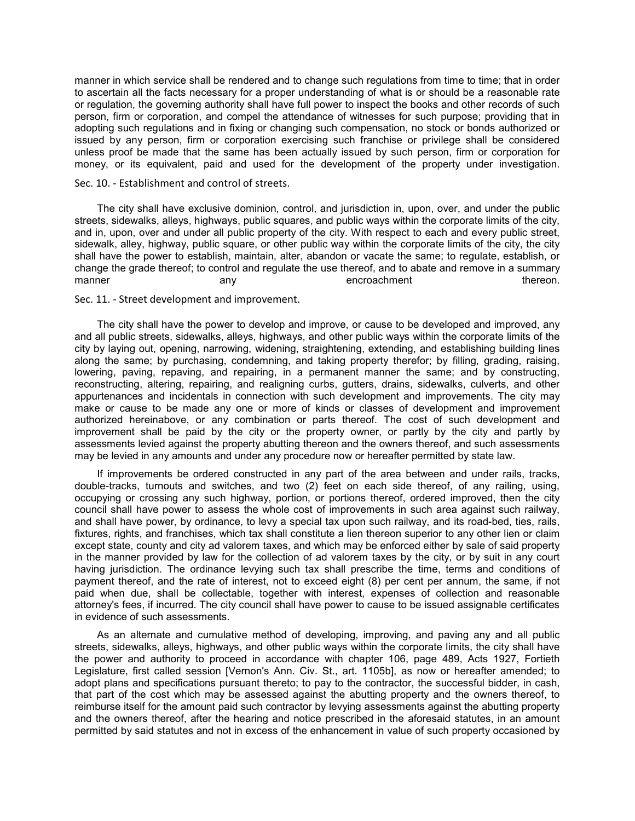manner in which service shall be rendered and to change such regulations from time to time; that in order to ascertain all the facts necessary for a proper understanding of what is or should be a reasonable rate or regulation, the governing authority shall have full power to inspect the books and other records of such person, firm or corporation, and compel the attendance of witnesses for such purpose; providing that in adopting such regulations and in fixing or changing such compensation, no stock or bonds authorized or issued by any person, firm or corporation exercising such franchise or privilege shall be considered unless proof be made that the same has been actually issued by such person, firm or corporation for money, or its equivalent, paid and used for the development of the property under investigation.

### Sec. 10. - Establishment and control of streets.

The city shall have exclusive dominion, control, and jurisdiction in, upon, over, and under the public streets, sidewalks, alleys, highways, public squares, and public ways within the corporate limits of the city, and in, upon, over and under all public property of the city. With respect to each and every public street, sidewalk, alley, highway, public square, or other public way within the corporate limits of the city, the city shall have the power to establish, maintain, alter, abandon or vacate the same; to regulate, establish, or change the grade thereof; to control and regulate the use thereof, and to abate and remove in a summary manner any any encroachment thereon.

### Sec. 11. - Street development and improvement.

The city shall have the power to develop and improve, or cause to be developed and improved, any and all public streets, sidewalks, alleys, highways, and other public ways within the corporate limits of the city by laying out, opening, narrowing, widening, straightening, extending, and establishing building lines along the same; by purchasing, condemning, and taking property therefor; by filling, grading, raising, lowering, paving, repaving, and repairing, in a permanent manner the same; and by constructing, reconstructing, altering, repairing, and realigning curbs, gutters, drains, sidewalks, culverts, and other appurtenances and incidentals in connection with such development and improvements. The city may make or cause to be made any one or more of kinds or classes of development and improvement authorized hereinabove, or any combination or parts thereof. The cost of such development and improvement shall be paid by the city or the property owner, or partly by the city and partly by assessments levied against the property abutting thereon and the owners thereof, and such assessments may be levied in any amounts and under any procedure now or hereafter permitted by state law.

If improvements be ordered constructed in any part of the area between and under rails, tracks, double-tracks, turnouts and switches, and two (2) feet on each side thereof, of any railing, using, occupying or crossing any such highway, portion, or portions thereof, ordered improved, then the city council shall have power to assess the whole cost of improvements in such area against such railway, and shall have power, by ordinance, to levy a special tax upon such railway, and its road-bed, ties, rails, fixtures, rights, and franchises, which tax shall constitute a lien thereon superior to any other lien or claim except state, county and city ad valorem taxes, and which may be enforced either by sale of said property in the manner provided by law for the collection of ad valorem taxes by the city, or by suit in any court having jurisdiction. The ordinance levying such tax shall prescribe the time, terms and conditions of payment thereof, and the rate of interest, not to exceed eight (8) per cent per annum, the same, if not paid when due, shall be collectable, together with interest, expenses of collection and reasonable attorney's fees, if incurred. The city council shall have power to cause to be issued assignable certificates in evidence of such assessments.

As an alternate and cumulative method of developing, improving, and paving any and all public streets, sidewalks, alleys, highways, and other public ways within the corporate limits, the city shall have the power and authority to proceed in accordance with chapter 106, page 489, Acts 1927, Fortieth Legislature, first called session [Vernon's Ann. Civ. St., art. 1105b], as now or hereafter amended; to adopt plans and specifications pursuant thereto; to pay to the contractor, the successful bidder, in cash, that part of the cost which may be assessed against the abutting property and the owners thereof, to reimburse itself for the amount paid such contractor by levying assessments against the abutting property and the owners thereof, after the hearing and notice prescribed in the aforesaid statutes, in an amount permitted by said statutes and not in excess of the enhancement in value of such property occasioned by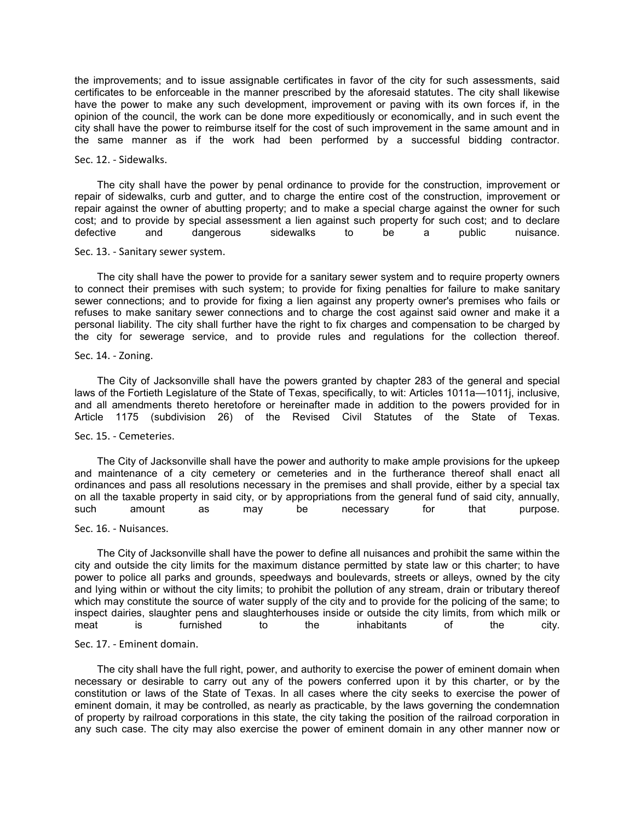the improvements; and to issue assignable certificates in favor of the city for such assessments, said certificates to be enforceable in the manner prescribed by the aforesaid statutes. The city shall likewise have the power to make any such development, improvement or paving with its own forces if, in the opinion of the council, the work can be done more expeditiously or economically, and in such event the city shall have the power to reimburse itself for the cost of such improvement in the same amount and in the same manner as if the work had been performed by a successful bidding contractor.

## Sec. 12. - Sidewalks.

The city shall have the power by penal ordinance to provide for the construction, improvement or repair of sidewalks, curb and gutter, and to charge the entire cost of the construction, improvement or repair against the owner of abutting property; and to make a special charge against the owner for such cost; and to provide by special assessment a lien against such property for such cost; and to declare defective and dangerous sidewalks to be a public nuisance.

# Sec. 13. - Sanitary sewer system.

The city shall have the power to provide for a sanitary sewer system and to require property owners to connect their premises with such system; to provide for fixing penalties for failure to make sanitary sewer connections; and to provide for fixing a lien against any property owner's premises who fails or refuses to make sanitary sewer connections and to charge the cost against said owner and make it a personal liability. The city shall further have the right to fix charges and compensation to be charged by the city for sewerage service, and to provide rules and regulations for the collection thereof.

#### Sec. 14. - Zoning.

The City of Jacksonville shall have the powers granted by chapter 283 of the general and special laws of the Fortieth Legislature of the State of Texas, specifically, to wit: Articles 1011a—1011j, inclusive, and all amendments thereto heretofore or hereinafter made in addition to the powers provided for in Article 1175 (subdivision 26) of the Revised Civil Statutes of the State of Texas.

# Sec. 15. - Cemeteries.

The City of Jacksonville shall have the power and authority to make ample provisions for the upkeep and maintenance of a city cemetery or cemeteries and in the furtherance thereof shall enact all ordinances and pass all resolutions necessary in the premises and shall provide, either by a special tax on all the taxable property in said city, or by appropriations from the general fund of said city, annually, such amount as may be necessary for that purpose. such amount as may be necessary for that purpose.

#### Sec. 16. - Nuisances.

The City of Jacksonville shall have the power to define all nuisances and prohibit the same within the city and outside the city limits for the maximum distance permitted by state law or this charter; to have power to police all parks and grounds, speedways and boulevards, streets or alleys, owned by the city and lying within or without the city limits; to prohibit the pollution of any stream, drain or tributary thereof which may constitute the source of water supply of the city and to provide for the policing of the same; to inspect dairies, slaughter pens and slaughterhouses inside or outside the city limits, from which milk or meat is furnished to the inhabitants of the city.

# Sec. 17. - Eminent domain.

The city shall have the full right, power, and authority to exercise the power of eminent domain when necessary or desirable to carry out any of the powers conferred upon it by this charter, or by the constitution or laws of the State of Texas. In all cases where the city seeks to exercise the power of eminent domain, it may be controlled, as nearly as practicable, by the laws governing the condemnation of property by railroad corporations in this state, the city taking the position of the railroad corporation in any such case. The city may also exercise the power of eminent domain in any other manner now or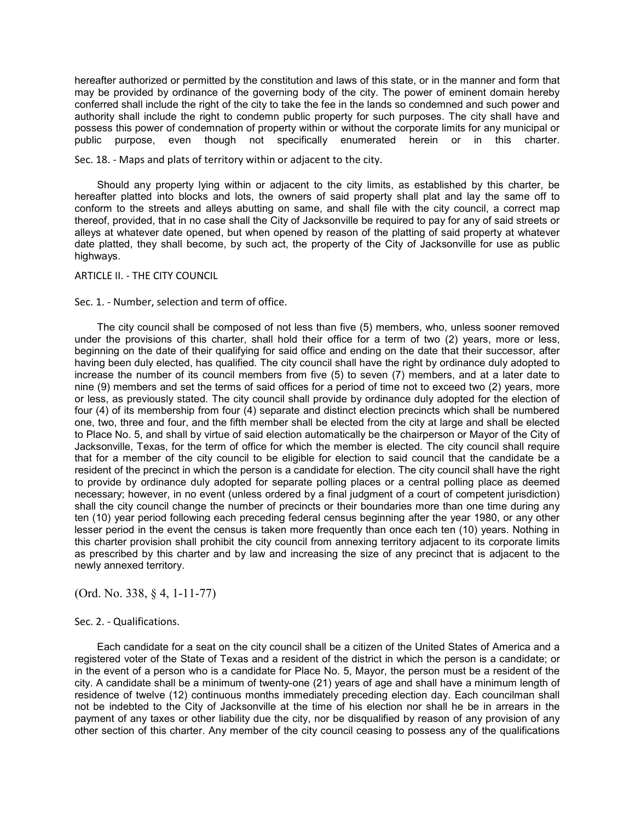hereafter authorized or permitted by the constitution and laws of this state, or in the manner and form that may be provided by ordinance of the governing body of the city. The power of eminent domain hereby conferred shall include the right of the city to take the fee in the lands so condemned and such power and authority shall include the right to condemn public property for such purposes. The city shall have and possess this power of condemnation of property within or without the corporate limits for any municipal or public purpose, even though not specifically enumerated herein or in this charter.

Sec. 18. - Maps and plats of territory within or adjacent to the city.

Should any property lying within or adjacent to the city limits, as established by this charter, be hereafter platted into blocks and lots, the owners of said property shall plat and lay the same off to conform to the streets and alleys abutting on same, and shall file with the city council, a correct map thereof, provided, that in no case shall the City of Jacksonville be required to pay for any of said streets or alleys at whatever date opened, but when opened by reason of the platting of said property at whatever date platted, they shall become, by such act, the property of the City of Jacksonville for use as public highways.

## ARTICLE II. - THE CITY COUNCIL

## Sec. 1. - Number, selection and term of office.

The city council shall be composed of not less than five (5) members, who, unless sooner removed under the provisions of this charter, shall hold their office for a term of two (2) years, more or less, beginning on the date of their qualifying for said office and ending on the date that their successor, after having been duly elected, has qualified. The city council shall have the right by ordinance duly adopted to increase the number of its council members from five (5) to seven (7) members, and at a later date to nine (9) members and set the terms of said offices for a period of time not to exceed two (2) years, more or less, as previously stated. The city council shall provide by ordinance duly adopted for the election of four (4) of its membership from four (4) separate and distinct election precincts which shall be numbered one, two, three and four, and the fifth member shall be elected from the city at large and shall be elected to Place No. 5, and shall by virtue of said election automatically be the chairperson or Mayor of the City of Jacksonville, Texas, for the term of office for which the member is elected. The city council shall require that for a member of the city council to be eligible for election to said council that the candidate be a resident of the precinct in which the person is a candidate for election. The city council shall have the right to provide by ordinance duly adopted for separate polling places or a central polling place as deemed necessary; however, in no event (unless ordered by a final judgment of a court of competent jurisdiction) shall the city council change the number of precincts or their boundaries more than one time during any ten (10) year period following each preceding federal census beginning after the year 1980, or any other lesser period in the event the census is taken more frequently than once each ten (10) years. Nothing in this charter provision shall prohibit the city council from annexing territory adjacent to its corporate limits as prescribed by this charter and by law and increasing the size of any precinct that is adjacent to the newly annexed territory.

(Ord. No. 338, § 4, 1-11-77)

#### Sec. 2. - Qualifications.

Each candidate for a seat on the city council shall be a citizen of the United States of America and a registered voter of the State of Texas and a resident of the district in which the person is a candidate; or in the event of a person who is a candidate for Place No. 5, Mayor, the person must be a resident of the city. A candidate shall be a minimum of twenty-one (21) years of age and shall have a minimum length of residence of twelve (12) continuous months immediately preceding election day. Each councilman shall not be indebted to the City of Jacksonville at the time of his election nor shall he be in arrears in the payment of any taxes or other liability due the city, nor be disqualified by reason of any provision of any other section of this charter. Any member of the city council ceasing to possess any of the qualifications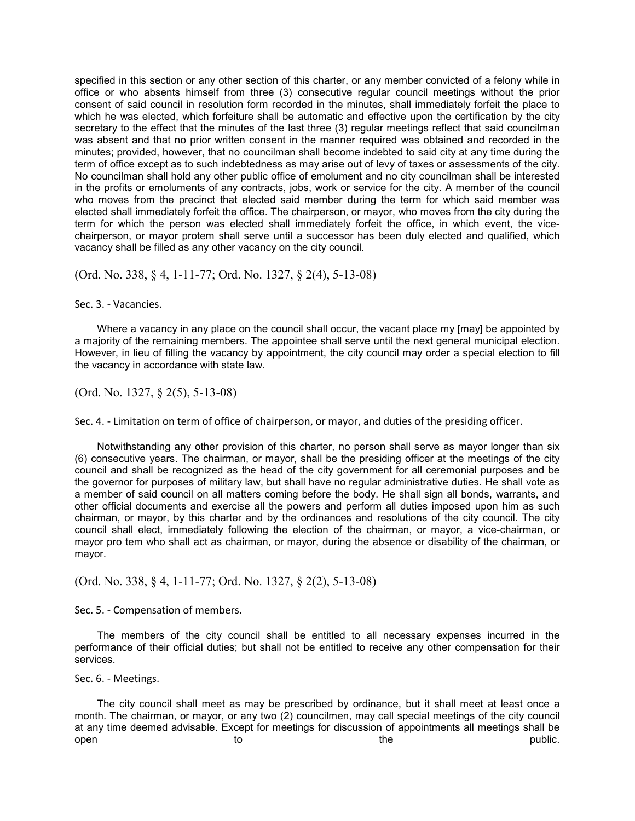specified in this section or any other section of this charter, or any member convicted of a felony while in office or who absents himself from three (3) consecutive regular council meetings without the prior consent of said council in resolution form recorded in the minutes, shall immediately forfeit the place to which he was elected, which forfeiture shall be automatic and effective upon the certification by the city secretary to the effect that the minutes of the last three (3) regular meetings reflect that said councilman was absent and that no prior written consent in the manner required was obtained and recorded in the minutes; provided, however, that no councilman shall become indebted to said city at any time during the term of office except as to such indebtedness as may arise out of levy of taxes or assessments of the city. No councilman shall hold any other public office of emolument and no city councilman shall be interested in the profits or emoluments of any contracts, jobs, work or service for the city. A member of the council who moves from the precinct that elected said member during the term for which said member was elected shall immediately forfeit the office. The chairperson, or mayor, who moves from the city during the term for which the person was elected shall immediately forfeit the office, in which event, the vicechairperson, or mayor protem shall serve until a successor has been duly elected and qualified, which vacancy shall be filled as any other vacancy on the city council.

(Ord. No. 338, § 4, 1-11-77; Ord. No. 1327, § 2(4), 5-13-08)

#### Sec. 3. - Vacancies.

Where a vacancy in any place on the council shall occur, the vacant place my [may] be appointed by a majority of the remaining members. The appointee shall serve until the next general municipal election. However, in lieu of filling the vacancy by appointment, the city council may order a special election to fill the vacancy in accordance with state law.

(Ord. No. 1327, § 2(5), 5-13-08)

Sec. 4. - Limitation on term of office of chairperson, or mayor, and duties of the presiding officer.

Notwithstanding any other provision of this charter, no person shall serve as mayor longer than six (6) consecutive years. The chairman, or mayor, shall be the presiding officer at the meetings of the city council and shall be recognized as the head of the city government for all ceremonial purposes and be the governor for purposes of military law, but shall have no regular administrative duties. He shall vote as a member of said council on all matters coming before the body. He shall sign all bonds, warrants, and other official documents and exercise all the powers and perform all duties imposed upon him as such chairman, or mayor, by this charter and by the ordinances and resolutions of the city council. The city council shall elect, immediately following the election of the chairman, or mayor, a vice-chairman, or mayor pro tem who shall act as chairman, or mayor, during the absence or disability of the chairman, or mayor.

(Ord. No. 338, § 4, 1-11-77; Ord. No. 1327, § 2(2), 5-13-08)

Sec. 5. - Compensation of members.

The members of the city council shall be entitled to all necessary expenses incurred in the performance of their official duties; but shall not be entitled to receive any other compensation for their services.

Sec. 6. - Meetings.

The city council shall meet as may be prescribed by ordinance, but it shall meet at least once a month. The chairman, or mayor, or any two (2) councilmen, may call special meetings of the city council at any time deemed advisable. Except for meetings for discussion of appointments all meetings shall be  $\mathsf{open}$  to to the public.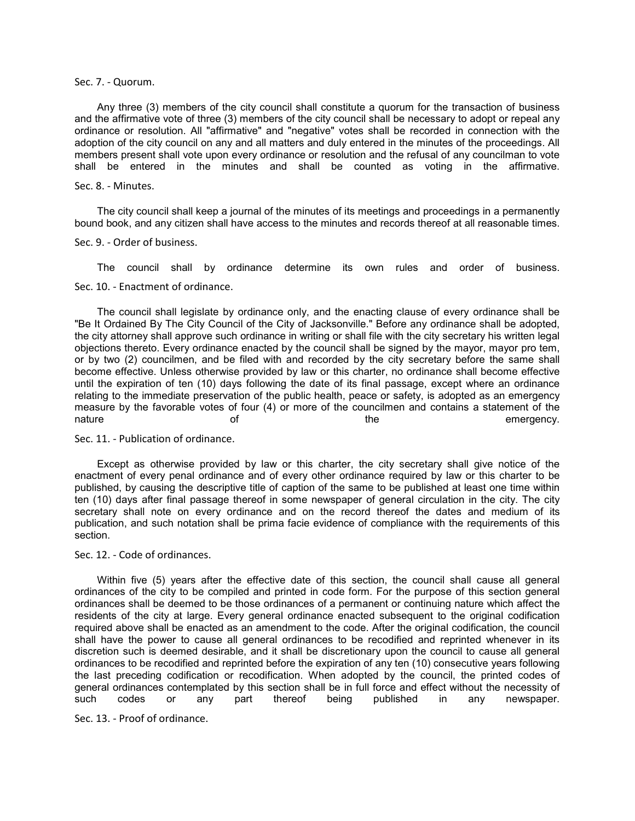#### Sec. 7. - Quorum.

Any three (3) members of the city council shall constitute a quorum for the transaction of business and the affirmative vote of three (3) members of the city council shall be necessary to adopt or repeal any ordinance or resolution. All "affirmative" and "negative" votes shall be recorded in connection with the adoption of the city council on any and all matters and duly entered in the minutes of the proceedings. All members present shall vote upon every ordinance or resolution and the refusal of any councilman to vote shall be entered in the minutes and shall be counted as voting in the affirmative.

#### Sec. 8. - Minutes.

The city council shall keep a journal of the minutes of its meetings and proceedings in a permanently bound book, and any citizen shall have access to the minutes and records thereof at all reasonable times.

Sec. 9. - Order of business.

The council shall by ordinance determine its own rules and order of business.

#### Sec. 10. - Enactment of ordinance.

The council shall legislate by ordinance only, and the enacting clause of every ordinance shall be "Be It Ordained By The City Council of the City of Jacksonville." Before any ordinance shall be adopted, the city attorney shall approve such ordinance in writing or shall file with the city secretary his written legal objections thereto. Every ordinance enacted by the council shall be signed by the mayor, mayor pro tem, or by two (2) councilmen, and be filed with and recorded by the city secretary before the same shall become effective. Unless otherwise provided by law or this charter, no ordinance shall become effective until the expiration of ten (10) days following the date of its final passage, except where an ordinance relating to the immediate preservation of the public health, peace or safety, is adopted as an emergency measure by the favorable votes of four (4) or more of the councilmen and contains a statement of the nature the emergency. The emergency of the the emergency.

Sec. 11. - Publication of ordinance.

Except as otherwise provided by law or this charter, the city secretary shall give notice of the enactment of every penal ordinance and of every other ordinance required by law or this charter to be published, by causing the descriptive title of caption of the same to be published at least one time within ten (10) days after final passage thereof in some newspaper of general circulation in the city. The city secretary shall note on every ordinance and on the record thereof the dates and medium of its publication, and such notation shall be prima facie evidence of compliance with the requirements of this section.

# Sec. 12. - Code of ordinances.

Within five (5) years after the effective date of this section, the council shall cause all general ordinances of the city to be compiled and printed in code form. For the purpose of this section general ordinances shall be deemed to be those ordinances of a permanent or continuing nature which affect the residents of the city at large. Every general ordinance enacted subsequent to the original codification required above shall be enacted as an amendment to the code. After the original codification, the council shall have the power to cause all general ordinances to be recodified and reprinted whenever in its discretion such is deemed desirable, and it shall be discretionary upon the council to cause all general ordinances to be recodified and reprinted before the expiration of any ten (10) consecutive years following the last preceding codification or recodification. When adopted by the council, the printed codes of general ordinances contemplated by this section shall be in full force and effect without the necessity of such<br>such codes or any part thereof being published in any newspaper. such codes or any part thereof being published in any newspaper.

Sec. 13. - Proof of ordinance.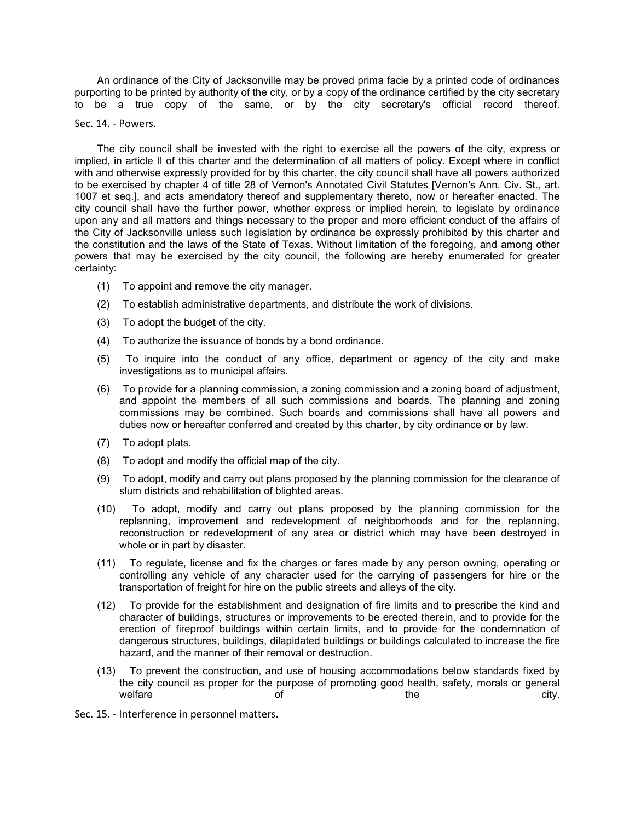An ordinance of the City of Jacksonville may be proved prima facie by a printed code of ordinances purporting to be printed by authority of the city, or by a copy of the ordinance certified by the city secretary to be a true copy of the same, or by the city secretary's official record thereof.

### Sec. 14. - Powers.

The city council shall be invested with the right to exercise all the powers of the city, express or implied, in article II of this charter and the determination of all matters of policy. Except where in conflict with and otherwise expressly provided for by this charter, the city council shall have all powers authorized to be exercised by chapter 4 of title 28 of Vernon's Annotated Civil Statutes [Vernon's Ann. Civ. St., art. 1007 et seq.], and acts amendatory thereof and supplementary thereto, now or hereafter enacted. The city council shall have the further power, whether express or implied herein, to legislate by ordinance upon any and all matters and things necessary to the proper and more efficient conduct of the affairs of the City of Jacksonville unless such legislation by ordinance be expressly prohibited by this charter and the constitution and the laws of the State of Texas. Without limitation of the foregoing, and among other powers that may be exercised by the city council, the following are hereby enumerated for greater certainty:

- (1) To appoint and remove the city manager.
- (2) To establish administrative departments, and distribute the work of divisions.
- (3) To adopt the budget of the city.
- (4) To authorize the issuance of bonds by a bond ordinance.
- (5) To inquire into the conduct of any office, department or agency of the city and make investigations as to municipal affairs.
- (6) To provide for a planning commission, a zoning commission and a zoning board of adjustment, and appoint the members of all such commissions and boards. The planning and zoning commissions may be combined. Such boards and commissions shall have all powers and duties now or hereafter conferred and created by this charter, by city ordinance or by law.
- (7) To adopt plats.
- (8) To adopt and modify the official map of the city.
- (9) To adopt, modify and carry out plans proposed by the planning commission for the clearance of slum districts and rehabilitation of blighted areas.
- (10) To adopt, modify and carry out plans proposed by the planning commission for the replanning, improvement and redevelopment of neighborhoods and for the replanning, reconstruction or redevelopment of any area or district which may have been destroyed in whole or in part by disaster.
- (11) To regulate, license and fix the charges or fares made by any person owning, operating or controlling any vehicle of any character used for the carrying of passengers for hire or the transportation of freight for hire on the public streets and alleys of the city.
- (12) To provide for the establishment and designation of fire limits and to prescribe the kind and character of buildings, structures or improvements to be erected therein, and to provide for the erection of fireproof buildings within certain limits, and to provide for the condemnation of dangerous structures, buildings, dilapidated buildings or buildings calculated to increase the fire hazard, and the manner of their removal or destruction.
- (13) To prevent the construction, and use of housing accommodations below standards fixed by the city council as proper for the purpose of promoting good health, safety, morals or general<br>welfare of the city. welfare  $\qquad \qquad \text{of} \qquad \qquad \text{the} \qquad \qquad \text{city}.$
- Sec. 15. Interference in personnel matters.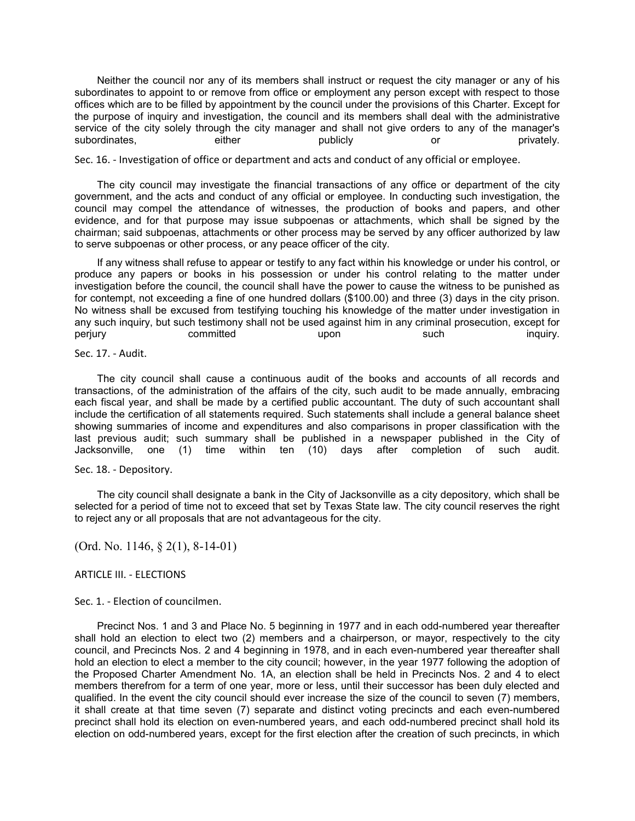Neither the council nor any of its members shall instruct or request the city manager or any of his subordinates to appoint to or remove from office or employment any person except with respect to those offices which are to be filled by appointment by the council under the provisions of this Charter. Except for the purpose of inquiry and investigation, the council and its members shall deal with the administrative service of the city solely through the city manager and shall not give orders to any of the manager's subordinates, either publicly or privately, either publicly or privately.

Sec. 16. - Investigation of office or department and acts and conduct of any official or employee.

The city council may investigate the financial transactions of any office or department of the city government, and the acts and conduct of any official or employee. In conducting such investigation, the council may compel the attendance of witnesses, the production of books and papers, and other evidence, and for that purpose may issue subpoenas or attachments, which shall be signed by the chairman; said subpoenas, attachments or other process may be served by any officer authorized by law to serve subpoenas or other process, or any peace officer of the city.

If any witness shall refuse to appear or testify to any fact within his knowledge or under his control, or produce any papers or books in his possession or under his control relating to the matter under investigation before the council, the council shall have the power to cause the witness to be punished as for contempt, not exceeding a fine of one hundred dollars (\$100.00) and three (3) days in the city prison. No witness shall be excused from testifying touching his knowledge of the matter under investigation in any such inquiry, but such testimony shall not be used against him in any criminal prosecution, except for<br>
periury such such inquiry, committed upon perjury committed upon such inquiry.

Sec. 17. - Audit.

The city council shall cause a continuous audit of the books and accounts of all records and transactions, of the administration of the affairs of the city, such audit to be made annually, embracing each fiscal year, and shall be made by a certified public accountant. The duty of such accountant shall include the certification of all statements required. Such statements shall include a general balance sheet showing summaries of income and expenditures and also comparisons in proper classification with the last previous audit; such summary shall be published in a newspaper published in the City of Jacksonville, one (1) time within ten (10) days after completion of such audit.

Sec. 18. - Depository.

The city council shall designate a bank in the City of Jacksonville as a city depository, which shall be selected for a period of time not to exceed that set by Texas State law. The city council reserves the right to reject any or all proposals that are not advantageous for the city.

## (Ord. No. 1146, § 2(1), 8-14-01)

### ARTICLE III. - ELECTIONS

Sec. 1. - Election of councilmen.

Precinct Nos. 1 and 3 and Place No. 5 beginning in 1977 and in each odd-numbered year thereafter shall hold an election to elect two (2) members and a chairperson, or mayor, respectively to the city council, and Precincts Nos. 2 and 4 beginning in 1978, and in each even-numbered year thereafter shall hold an election to elect a member to the city council; however, in the year 1977 following the adoption of the Proposed Charter Amendment No. 1A, an election shall be held in Precincts Nos. 2 and 4 to elect members therefrom for a term of one year, more or less, until their successor has been duly elected and qualified. In the event the city council should ever increase the size of the council to seven (7) members, it shall create at that time seven (7) separate and distinct voting precincts and each even-numbered precinct shall hold its election on even-numbered years, and each odd-numbered precinct shall hold its election on odd-numbered years, except for the first election after the creation of such precincts, in which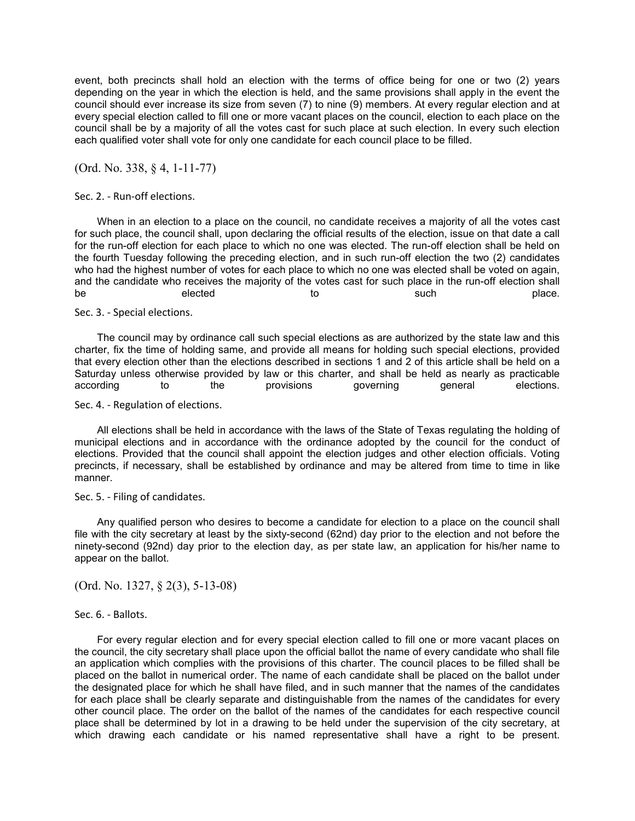event, both precincts shall hold an election with the terms of office being for one or two (2) years depending on the year in which the election is held, and the same provisions shall apply in the event the council should ever increase its size from seven (7) to nine (9) members. At every regular election and at every special election called to fill one or more vacant places on the council, election to each place on the council shall be by a majority of all the votes cast for such place at such election. In every such election each qualified voter shall vote for only one candidate for each council place to be filled.

# (Ord. No. 338, § 4, 1-11-77)

#### Sec. 2. - Run-off elections.

When in an election to a place on the council, no candidate receives a majority of all the votes cast for such place, the council shall, upon declaring the official results of the election, issue on that date a call for the run-off election for each place to which no one was elected. The run-off election shall be held on the fourth Tuesday following the preceding election, and in such run-off election the two (2) candidates who had the highest number of votes for each place to which no one was elected shall be voted on again, and the candidate who receives the majority of the votes cast for such place in the run-off election shall be elected to to such place.

Sec. 3. - Special elections.

The council may by ordinance call such special elections as are authorized by the state law and this charter, fix the time of holding same, and provide all means for holding such special elections, provided that every election other than the elections described in sections 1 and 2 of this article shall be held on a Saturday unless otherwise provided by law or this charter, and shall be held as nearly as practicable according to the provisions governing general elections.

Sec. 4. - Regulation of elections.

All elections shall be held in accordance with the laws of the State of Texas regulating the holding of municipal elections and in accordance with the ordinance adopted by the council for the conduct of elections. Provided that the council shall appoint the election judges and other election officials. Voting precincts, if necessary, shall be established by ordinance and may be altered from time to time in like manner.

Sec. 5. - Filing of candidates.

Any qualified person who desires to become a candidate for election to a place on the council shall file with the city secretary at least by the sixty-second (62nd) day prior to the election and not before the ninety-second (92nd) day prior to the election day, as per state law, an application for his/her name to appear on the ballot.

(Ord. No. 1327, § 2(3), 5-13-08)

#### Sec. 6. - Ballots.

For every regular election and for every special election called to fill one or more vacant places on the council, the city secretary shall place upon the official ballot the name of every candidate who shall file an application which complies with the provisions of this charter. The council places to be filled shall be placed on the ballot in numerical order. The name of each candidate shall be placed on the ballot under the designated place for which he shall have filed, and in such manner that the names of the candidates for each place shall be clearly separate and distinguishable from the names of the candidates for every other council place. The order on the ballot of the names of the candidates for each respective council place shall be determined by lot in a drawing to be held under the supervision of the city secretary, at which drawing each candidate or his named representative shall have a right to be present.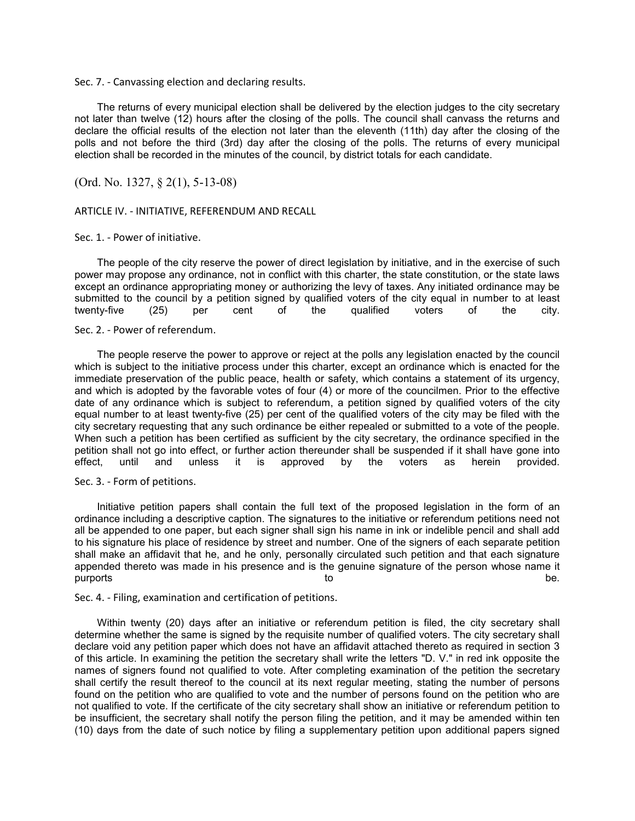Sec. 7. - Canvassing election and declaring results.

The returns of every municipal election shall be delivered by the election judges to the city secretary not later than twelve (12) hours after the closing of the polls. The council shall canvass the returns and declare the official results of the election not later than the eleventh (11th) day after the closing of the polls and not before the third (3rd) day after the closing of the polls. The returns of every municipal election shall be recorded in the minutes of the council, by district totals for each candidate.

(Ord. No. 1327, § 2(1), 5-13-08)

## ARTICLE IV. - INITIATIVE, REFERENDUM AND RECALL

Sec. 1. - Power of initiative.

The people of the city reserve the power of direct legislation by initiative, and in the exercise of such power may propose any ordinance, not in conflict with this charter, the state constitution, or the state laws except an ordinance appropriating money or authorizing the levy of taxes. Any initiated ordinance may be submitted to the council by a petition signed by qualified voters of the city equal in number to at least twenty-five (25) per cent of the qualified voters of the city.

Sec. 2. - Power of referendum.

The people reserve the power to approve or reject at the polls any legislation enacted by the council which is subject to the initiative process under this charter, except an ordinance which is enacted for the immediate preservation of the public peace, health or safety, which contains a statement of its urgency, and which is adopted by the favorable votes of four (4) or more of the councilmen. Prior to the effective date of any ordinance which is subject to referendum, a petition signed by qualified voters of the city equal number to at least twenty-five (25) per cent of the qualified voters of the city may be filed with the city secretary requesting that any such ordinance be either repealed or submitted to a vote of the people. When such a petition has been certified as sufficient by the city secretary, the ordinance specified in the petition shall not go into effect, or further action thereunder shall be suspended if it shall have gone into effect, until and unless it is approved by the voters as herein provided.

Sec. 3. - Form of petitions.

Initiative petition papers shall contain the full text of the proposed legislation in the form of an ordinance including a descriptive caption. The signatures to the initiative or referendum petitions need not all be appended to one paper, but each signer shall sign his name in ink or indelible pencil and shall add to his signature his place of residence by street and number. One of the signers of each separate petition shall make an affidavit that he, and he only, personally circulated such petition and that each signature appended thereto was made in his presence and is the genuine signature of the person whose name it purports to be.

Sec. 4. - Filing, examination and certification of petitions.

Within twenty (20) days after an initiative or referendum petition is filed, the city secretary shall determine whether the same is signed by the requisite number of qualified voters. The city secretary shall declare void any petition paper which does not have an affidavit attached thereto as required in section 3 of this article. In examining the petition the secretary shall write the letters "D. V." in red ink opposite the names of signers found not qualified to vote. After completing examination of the petition the secretary shall certify the result thereof to the council at its next regular meeting, stating the number of persons found on the petition who are qualified to vote and the number of persons found on the petition who are not qualified to vote. If the certificate of the city secretary shall show an initiative or referendum petition to be insufficient, the secretary shall notify the person filing the petition, and it may be amended within ten (10) days from the date of such notice by filing a supplementary petition upon additional papers signed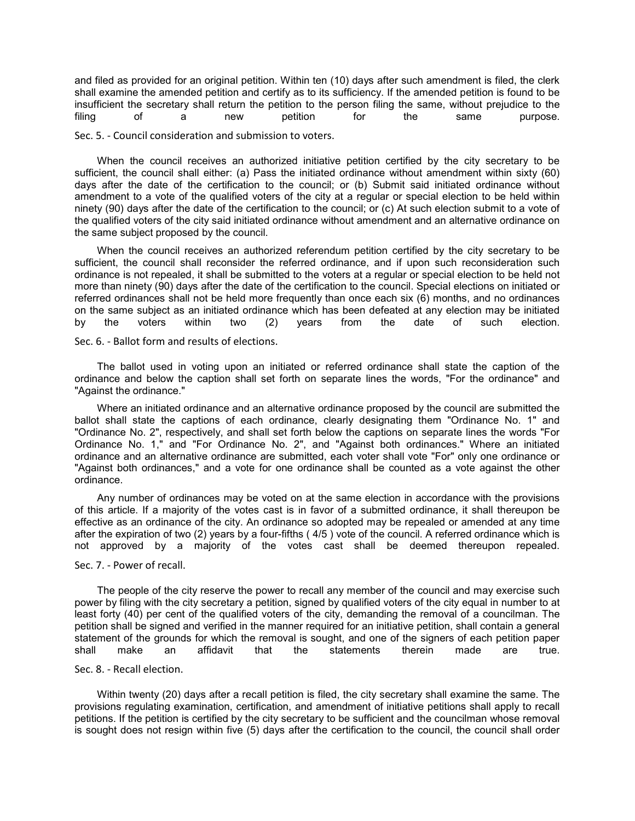and filed as provided for an original petition. Within ten (10) days after such amendment is filed, the clerk shall examine the amended petition and certify as to its sufficiency. If the amended petition is found to be insufficient the secretary shall return the petition to the person filing the same, without prejudice to the<br>filing of a new petition for the same purpose. filing of a new petition for the same purpose.

## Sec. 5. - Council consideration and submission to voters.

When the council receives an authorized initiative petition certified by the city secretary to be sufficient, the council shall either: (a) Pass the initiated ordinance without amendment within sixty (60) days after the date of the certification to the council; or (b) Submit said initiated ordinance without amendment to a vote of the qualified voters of the city at a regular or special election to be held within ninety (90) days after the date of the certification to the council; or (c) At such election submit to a vote of the qualified voters of the city said initiated ordinance without amendment and an alternative ordinance on the same subject proposed by the council.

When the council receives an authorized referendum petition certified by the city secretary to be sufficient, the council shall reconsider the referred ordinance, and if upon such reconsideration such ordinance is not repealed, it shall be submitted to the voters at a regular or special election to be held not more than ninety (90) days after the date of the certification to the council. Special elections on initiated or referred ordinances shall not be held more frequently than once each six (6) months, and no ordinances on the same subject as an initiated ordinance which has been defeated at any election may be initiated<br>by the voters within two (2) years from the date of such election. by the voters within two (2) years from the date of such election.

Sec. 6. - Ballot form and results of elections.

The ballot used in voting upon an initiated or referred ordinance shall state the caption of the ordinance and below the caption shall set forth on separate lines the words, "For the ordinance" and "Against the ordinance."

Where an initiated ordinance and an alternative ordinance proposed by the council are submitted the ballot shall state the captions of each ordinance, clearly designating them "Ordinance No. 1" and "Ordinance No. 2", respectively, and shall set forth below the captions on separate lines the words "For Ordinance No. 1," and "For Ordinance No. 2", and "Against both ordinances." Where an initiated ordinance and an alternative ordinance are submitted, each voter shall vote "For" only one ordinance or "Against both ordinances," and a vote for one ordinance shall be counted as a vote against the other ordinance.

Any number of ordinances may be voted on at the same election in accordance with the provisions of this article. If a majority of the votes cast is in favor of a submitted ordinance, it shall thereupon be effective as an ordinance of the city. An ordinance so adopted may be repealed or amended at any time after the expiration of two (2) years by a four-fifths ( 4/5 ) vote of the council. A referred ordinance which is not approved by a majority of the votes cast shall be deemed thereupon repealed.

## Sec. 7. - Power of recall.

The people of the city reserve the power to recall any member of the council and may exercise such power by filing with the city secretary a petition, signed by qualified voters of the city equal in number to at least forty (40) per cent of the qualified voters of the city, demanding the removal of a councilman. The petition shall be signed and verified in the manner required for an initiative petition, shall contain a general statement of the grounds for which the removal is sought, and one of the signers of each petition paper<br>shall make an affidavit that the statements therein made are true. shall make an affidavit that the statements therein made are true.

## Sec. 8. - Recall election.

Within twenty (20) days after a recall petition is filed, the city secretary shall examine the same. The provisions regulating examination, certification, and amendment of initiative petitions shall apply to recall petitions. If the petition is certified by the city secretary to be sufficient and the councilman whose removal is sought does not resign within five (5) days after the certification to the council, the council shall order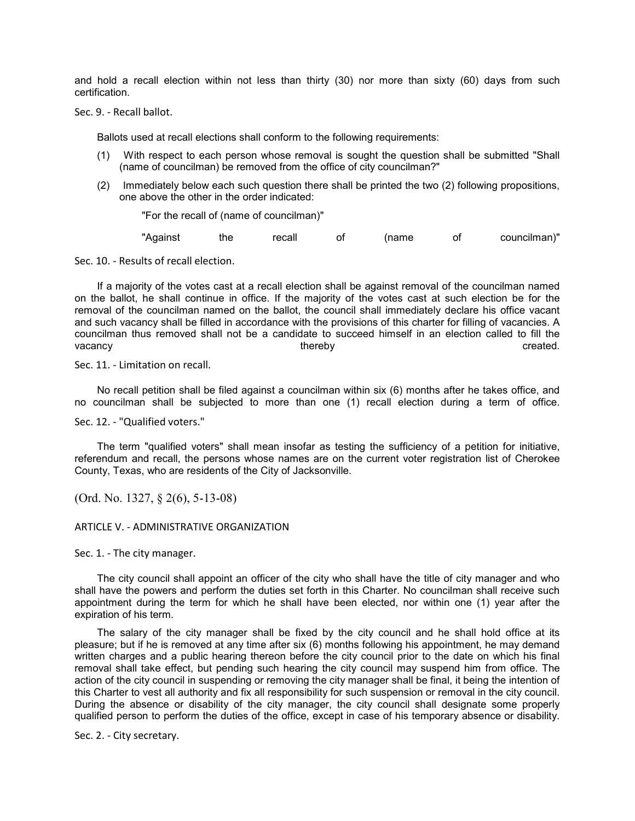and hold a recall election within not less than thirty (30) nor more than sixty (60) days from such certification.

Sec. 9. - Recall ballot.

Ballots used at recall elections shall conform to the following requirements:

- (1) With respect to each person whose removal is sought the question shall be submitted "Shall (name of councilman) be removed from the office of city councilman?"
- (2) Immediately below each such question there shall be printed the two (2) following propositions, one above the other in the order indicated:

"For the recall of (name of councilman)"

"Against the recall of (name of councilman)"

Sec. 10. - Results of recall election.

If a majority of the votes cast at a recall election shall be against removal of the councilman named on the ballot, he shall continue in office. If the majority of the votes cast at such election be for the removal of the councilman named on the ballot, the council shall immediately declare his office vacant and such vacancy shall be filled in accordance with the provisions of this charter for filling of vacancies. A councilman thus removed shall not be a candidate to succeed himself in an election called to fill the vacancy thereby created.

# Sec. 11. - Limitation on recall.

No recall petition shall be filed against a councilman within six (6) months after he takes office, and no councilman shall be subjected to more than one (1) recall election during a term of office.

Sec. 12. - "Qualified voters."

The term "qualified voters" shall mean insofar as testing the sufficiency of a petition for initiative, referendum and recall, the persons whose names are on the current voter registration list of Cherokee County, Texas, who are residents of the City of Jacksonville.

(Ord. No. 1327, § 2(6), 5-13-08)

#### ARTICLE V. - ADMINISTRATIVE ORGANIZATION

Sec. 1. - The city manager.

The city council shall appoint an officer of the city who shall have the title of city manager and who shall have the powers and perform the duties set forth in this Charter. No councilman shall receive such appointment during the term for which he shall have been elected, nor within one (1) year after the expiration of his term.

The salary of the city manager shall be fixed by the city council and he shall hold office at its pleasure; but if he is removed at any time after six (6) months following his appointment, he may demand written charges and a public hearing thereon before the city council prior to the date on which his final removal shall take effect, but pending such hearing the city council may suspend him from office. The action of the city council in suspending or removing the city manager shall be final, it being the intention of this Charter to vest all authority and fix all responsibility for such suspension or removal in the city council. During the absence or disability of the city manager, the city council shall designate some properly qualified person to perform the duties of the office, except in case of his temporary absence or disability.

Sec. 2. - City secretary.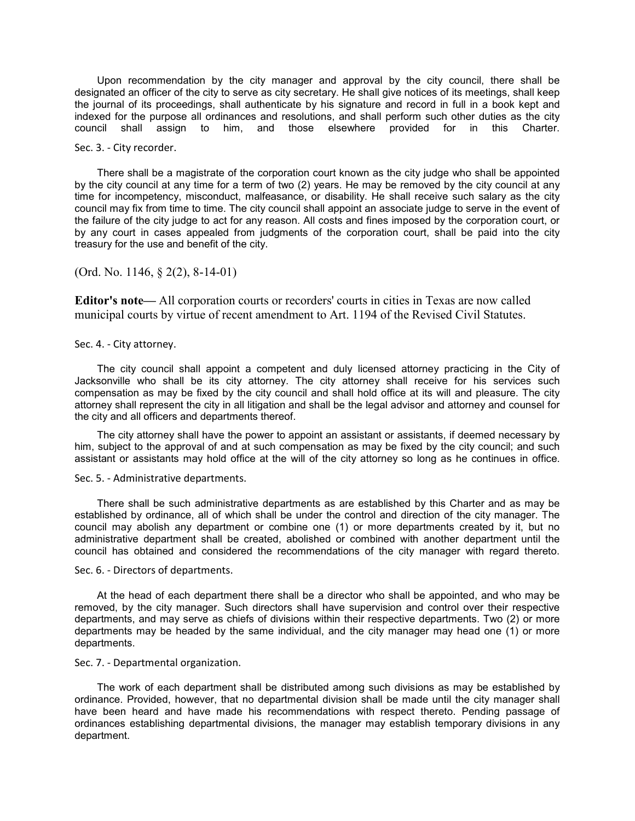Upon recommendation by the city manager and approval by the city council, there shall be designated an officer of the city to serve as city secretary. He shall give notices of its meetings, shall keep the journal of its proceedings, shall authenticate by his signature and record in full in a book kept and indexed for the purpose all ordinances and resolutions, and shall perform such other duties as the city council shall assign to him, and those elsewhere provided for in this Charter.

Sec. 3. - City recorder.

There shall be a magistrate of the corporation court known as the city judge who shall be appointed by the city council at any time for a term of two (2) years. He may be removed by the city council at any time for incompetency, misconduct, malfeasance, or disability. He shall receive such salary as the city council may fix from time to time. The city council shall appoint an associate judge to serve in the event of the failure of the city judge to act for any reason. All costs and fines imposed by the corporation court, or by any court in cases appealed from judgments of the corporation court, shall be paid into the city treasury for the use and benefit of the city.

(Ord. No. 1146, § 2(2), 8-14-01)

**Editor's note—** All corporation courts or recorders' courts in cities in Texas are now called municipal courts by virtue of recent amendment to Art. 1194 of the Revised Civil Statutes.

Sec. 4. - City attorney.

The city council shall appoint a competent and duly licensed attorney practicing in the City of Jacksonville who shall be its city attorney. The city attorney shall receive for his services such compensation as may be fixed by the city council and shall hold office at its will and pleasure. The city attorney shall represent the city in all litigation and shall be the legal advisor and attorney and counsel for the city and all officers and departments thereof.

The city attorney shall have the power to appoint an assistant or assistants, if deemed necessary by him, subject to the approval of and at such compensation as may be fixed by the city council; and such assistant or assistants may hold office at the will of the city attorney so long as he continues in office.

Sec. 5. - Administrative departments.

There shall be such administrative departments as are established by this Charter and as may be established by ordinance, all of which shall be under the control and direction of the city manager. The council may abolish any department or combine one (1) or more departments created by it, but no administrative department shall be created, abolished or combined with another department until the council has obtained and considered the recommendations of the city manager with regard thereto.

Sec. 6. - Directors of departments.

At the head of each department there shall be a director who shall be appointed, and who may be removed, by the city manager. Such directors shall have supervision and control over their respective departments, and may serve as chiefs of divisions within their respective departments. Two (2) or more departments may be headed by the same individual, and the city manager may head one (1) or more departments.

Sec. 7. - Departmental organization.

The work of each department shall be distributed among such divisions as may be established by ordinance. Provided, however, that no departmental division shall be made until the city manager shall have been heard and have made his recommendations with respect thereto. Pending passage of ordinances establishing departmental divisions, the manager may establish temporary divisions in any department.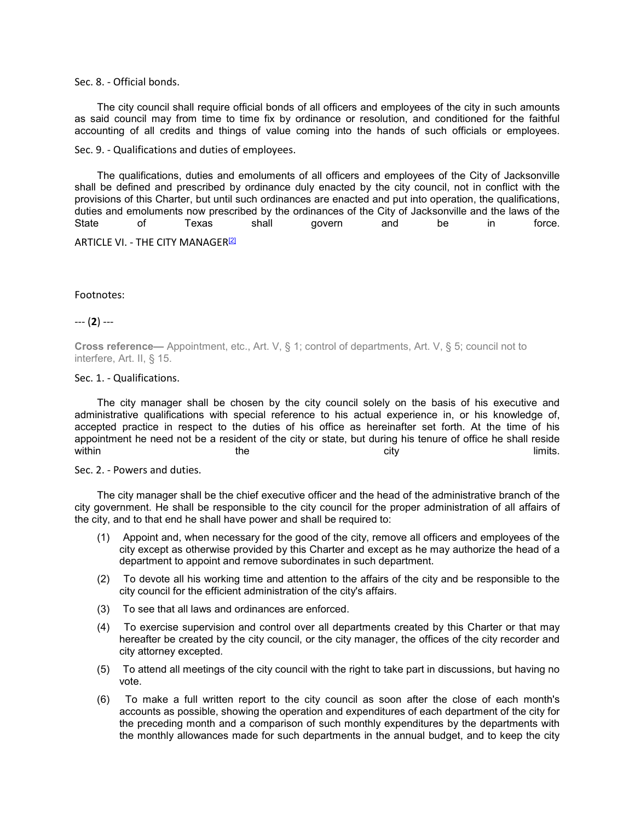#### Sec. 8. - Official bonds.

The city council shall require official bonds of all officers and employees of the city in such amounts as said council may from time to time fix by ordinance or resolution, and conditioned for the faithful accounting of all credits and things of value coming into the hands of such officials or employees.

Sec. 9. - Qualifications and duties of employees.

The qualifications, duties and emoluments of all officers and employees of the City of Jacksonville shall be defined and prescribed by ordinance duly enacted by the city council, not in conflict with the provisions of this Charter, but until such ordinances are enacted and put into operation, the qualifications, duties and emoluments now prescribed by the ordinances of the City of Jacksonville and the laws of the State of the State of Texas shall qovern and be in force. State of Texas shall govern and be in force. ARTICLE VI. - THE CITY MANAGER<sup>[2]</sup>

Footnotes:

### --- (**2**) ---

**Cross reference—** Appointment, etc., Art. V, § 1; control of departments, Art. V, § 5; council not to interfere, Art. II, § 15.

## Sec. 1. - Qualifications.

The city manager shall be chosen by the city council solely on the basis of his executive and administrative qualifications with special reference to his actual experience in, or his knowledge of, accepted practice in respect to the duties of his office as hereinafter set forth. At the time of his appointment he need not be a resident of the city or state, but during his tenure of office he shall reside<br>within limits within the city constants  $\mathsf{t}$  here constants  $\mathsf{c}$  is the city of  $\mathsf{t}$  limits.

### Sec. 2. - Powers and duties.

The city manager shall be the chief executive officer and the head of the administrative branch of the city government. He shall be responsible to the city council for the proper administration of all affairs of the city, and to that end he shall have power and shall be required to:

- (1) Appoint and, when necessary for the good of the city, remove all officers and employees of the city except as otherwise provided by this Charter and except as he may authorize the head of a department to appoint and remove subordinates in such department.
- (2) To devote all his working time and attention to the affairs of the city and be responsible to the city council for the efficient administration of the city's affairs.
- (3) To see that all laws and ordinances are enforced.
- (4) To exercise supervision and control over all departments created by this Charter or that may hereafter be created by the city council, or the city manager, the offices of the city recorder and city attorney excepted.
- (5) To attend all meetings of the city council with the right to take part in discussions, but having no vote.
- (6) To make a full written report to the city council as soon after the close of each month's accounts as possible, showing the operation and expenditures of each department of the city for the preceding month and a comparison of such monthly expenditures by the departments with the monthly allowances made for such departments in the annual budget, and to keep the city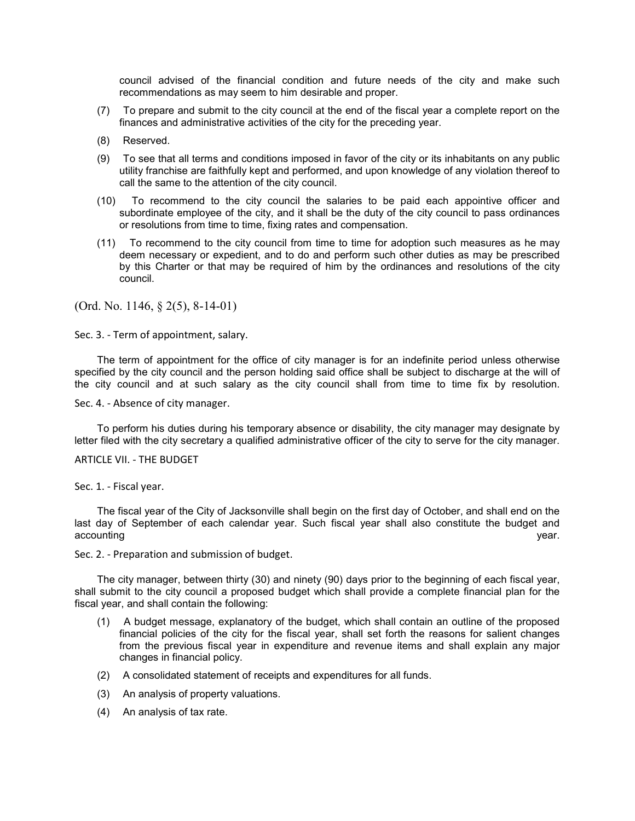council advised of the financial condition and future needs of the city and make such recommendations as may seem to him desirable and proper.

- (7) To prepare and submit to the city council at the end of the fiscal year a complete report on the finances and administrative activities of the city for the preceding year.
- (8) Reserved.
- (9) To see that all terms and conditions imposed in favor of the city or its inhabitants on any public utility franchise are faithfully kept and performed, and upon knowledge of any violation thereof to call the same to the attention of the city council.
- (10) To recommend to the city council the salaries to be paid each appointive officer and subordinate employee of the city, and it shall be the duty of the city council to pass ordinances or resolutions from time to time, fixing rates and compensation.
- (11) To recommend to the city council from time to time for adoption such measures as he may deem necessary or expedient, and to do and perform such other duties as may be prescribed by this Charter or that may be required of him by the ordinances and resolutions of the city council.

(Ord. No. 1146, § 2(5), 8-14-01)

Sec. 3. - Term of appointment, salary.

The term of appointment for the office of city manager is for an indefinite period unless otherwise specified by the city council and the person holding said office shall be subject to discharge at the will of the city council and at such salary as the city council shall from time to time fix by resolution.

Sec. 4. - Absence of city manager.

To perform his duties during his temporary absence or disability, the city manager may designate by letter filed with the city secretary a qualified administrative officer of the city to serve for the city manager.

#### ARTICLE VII. - THE BUDGET

Sec. 1. - Fiscal year.

The fiscal year of the City of Jacksonville shall begin on the first day of October, and shall end on the last day of September of each calendar year. Such fiscal year shall also constitute the budget and accounting year. We also a set of the control of the control of the control of the control of the control of th

Sec. 2. - Preparation and submission of budget.

The city manager, between thirty (30) and ninety (90) days prior to the beginning of each fiscal year, shall submit to the city council a proposed budget which shall provide a complete financial plan for the fiscal year, and shall contain the following:

- (1) A budget message, explanatory of the budget, which shall contain an outline of the proposed financial policies of the city for the fiscal year, shall set forth the reasons for salient changes from the previous fiscal year in expenditure and revenue items and shall explain any major changes in financial policy.
- (2) A consolidated statement of receipts and expenditures for all funds.
- (3) An analysis of property valuations.
- (4) An analysis of tax rate.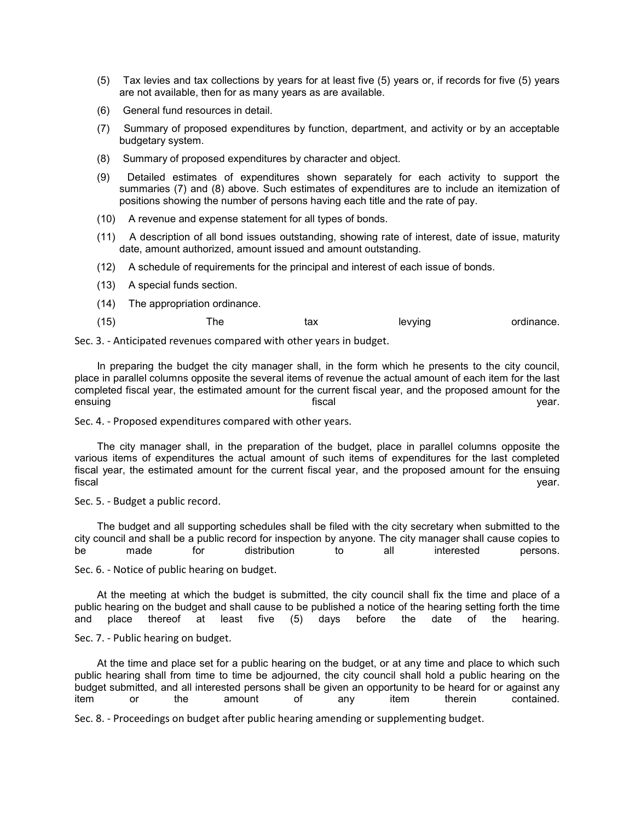- (5) Tax levies and tax collections by years for at least five (5) years or, if records for five (5) years are not available, then for as many years as are available.
- (6) General fund resources in detail.
- (7) Summary of proposed expenditures by function, department, and activity or by an acceptable budgetary system.
- (8) Summary of proposed expenditures by character and object.
- (9) Detailed estimates of expenditures shown separately for each activity to support the summaries (7) and (8) above. Such estimates of expenditures are to include an itemization of positions showing the number of persons having each title and the rate of pay.
- (10) A revenue and expense statement for all types of bonds.
- (11) A description of all bond issues outstanding, showing rate of interest, date of issue, maturity date, amount authorized, amount issued and amount outstanding.
- (12) A schedule of requirements for the principal and interest of each issue of bonds.
- (13) A special funds section.
- (14) The appropriation ordinance.
- (15) The tax levying ordinance.

Sec. 3. - Anticipated revenues compared with other years in budget.

In preparing the budget the city manager shall, in the form which he presents to the city council, place in parallel columns opposite the several items of revenue the actual amount of each item for the last completed fiscal year, the estimated amount for the current fiscal year, and the proposed amount for the ensuing fiscal year.

Sec. 4. - Proposed expenditures compared with other years.

The city manager shall, in the preparation of the budget, place in parallel columns opposite the various items of expenditures the actual amount of such items of expenditures for the last completed fiscal year, the estimated amount for the current fiscal year, and the proposed amount for the ensuing fiscal year.

Sec. 5. - Budget a public record.

The budget and all supporting schedules shall be filed with the city secretary when submitted to the city council and shall be a public record for inspection by anyone. The city manager shall cause copies to be made for distribution to all interested persons.

Sec. 6. - Notice of public hearing on budget.

At the meeting at which the budget is submitted, the city council shall fix the time and place of a public hearing on the budget and shall cause to be published a notice of the hearing setting forth the time and place thereof at least five (5) days before the date of the hearing. Sec. 7. - Public hearing on budget.

At the time and place set for a public hearing on the budget, or at any time and place to which such public hearing shall from time to time be adjourned, the city council shall hold a public hearing on the budget submitted, and all interested persons shall be given an opportunity to be heard for or against any item or the amount of any item therein contained.

Sec. 8. - Proceedings on budget after public hearing amending or supplementing budget.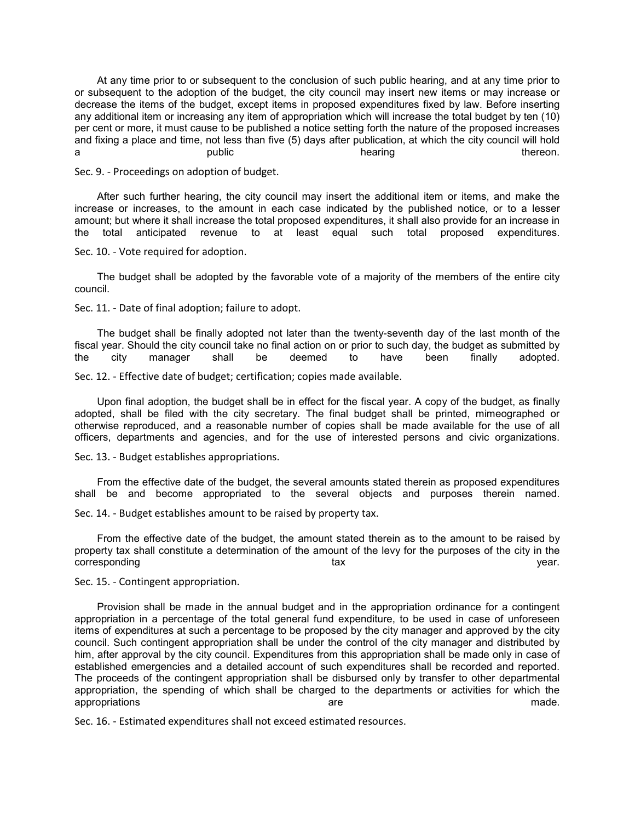At any time prior to or subsequent to the conclusion of such public hearing, and at any time prior to or subsequent to the adoption of the budget, the city council may insert new items or may increase or decrease the items of the budget, except items in proposed expenditures fixed by law. Before inserting any additional item or increasing any item of appropriation which will increase the total budget by ten (10) per cent or more, it must cause to be published a notice setting forth the nature of the proposed increases and fixing a place and time, not less than five (5) days after publication, at which the city council will hold a the public the settlement of the control of the public thereon. The settlement of the settlement of the settl

Sec. 9. - Proceedings on adoption of budget.

After such further hearing, the city council may insert the additional item or items, and make the increase or increases, to the amount in each case indicated by the published notice, or to a lesser amount; but where it shall increase the total proposed expenditures, it shall also provide for an increase in the total anticipated revenue to at least equal such total proposed expenditures.

Sec. 10. - Vote required for adoption.

The budget shall be adopted by the favorable vote of a majority of the members of the entire city council.

Sec. 11. - Date of final adoption; failure to adopt.

The budget shall be finally adopted not later than the twenty-seventh day of the last month of the fiscal year. Should the city council take no final action on or prior to such day, the budget as submitted by<br>the city manager shall be deemed to have been finally adopted. the city manager shall be deemed to have been finally adopted.

Sec. 12. - Effective date of budget; certification; copies made available.

Upon final adoption, the budget shall be in effect for the fiscal year. A copy of the budget, as finally adopted, shall be filed with the city secretary. The final budget shall be printed, mimeographed or otherwise reproduced, and a reasonable number of copies shall be made available for the use of all officers, departments and agencies, and for the use of interested persons and civic organizations.

Sec. 13. - Budget establishes appropriations.

From the effective date of the budget, the several amounts stated therein as proposed expenditures shall be and become appropriated to the several objects and purposes therein named.

Sec. 14. - Budget establishes amount to be raised by property tax.

From the effective date of the budget, the amount stated therein as to the amount to be raised by property tax shall constitute a determination of the amount of the levy for the purposes of the city in the corresponding tax tax year.

Sec. 15. - Contingent appropriation.

Provision shall be made in the annual budget and in the appropriation ordinance for a contingent appropriation in a percentage of the total general fund expenditure, to be used in case of unforeseen items of expenditures at such a percentage to be proposed by the city manager and approved by the city council. Such contingent appropriation shall be under the control of the city manager and distributed by him, after approval by the city council. Expenditures from this appropriation shall be made only in case of established emergencies and a detailed account of such expenditures shall be recorded and reported. The proceeds of the contingent appropriation shall be disbursed only by transfer to other departmental appropriation, the spending of which shall be charged to the departments or activities for which the appropriations are made.

Sec. 16. - Estimated expenditures shall not exceed estimated resources.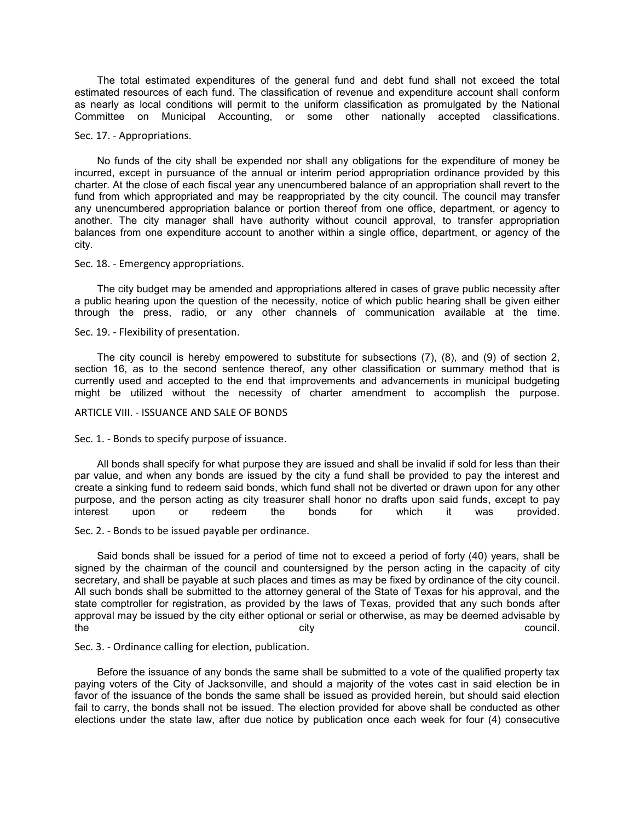The total estimated expenditures of the general fund and debt fund shall not exceed the total estimated resources of each fund. The classification of revenue and expenditure account shall conform as nearly as local conditions will permit to the uniform classification as promulgated by the National Committee on Municipal Accounting, or some other nationally accepted classifications.

## Sec. 17. - Appropriations.

No funds of the city shall be expended nor shall any obligations for the expenditure of money be incurred, except in pursuance of the annual or interim period appropriation ordinance provided by this charter. At the close of each fiscal year any unencumbered balance of an appropriation shall revert to the fund from which appropriated and may be reappropriated by the city council. The council may transfer any unencumbered appropriation balance or portion thereof from one office, department, or agency to another. The city manager shall have authority without council approval, to transfer appropriation balances from one expenditure account to another within a single office, department, or agency of the city.

#### Sec. 18. - Emergency appropriations.

The city budget may be amended and appropriations altered in cases of grave public necessity after a public hearing upon the question of the necessity, notice of which public hearing shall be given either through the press, radio, or any other channels of communication available at the time.

# Sec. 19. - Flexibility of presentation.

The city council is hereby empowered to substitute for subsections (7), (8), and (9) of section 2, section 16, as to the second sentence thereof, any other classification or summary method that is currently used and accepted to the end that improvements and advancements in municipal budgeting might be utilized without the necessity of charter amendment to accomplish the purpose.

# ARTICLE VIII. - ISSUANCE AND SALE OF BONDS

Sec. 1. - Bonds to specify purpose of issuance.

All bonds shall specify for what purpose they are issued and shall be invalid if sold for less than their par value, and when any bonds are issued by the city a fund shall be provided to pay the interest and create a sinking fund to redeem said bonds, which fund shall not be diverted or drawn upon for any other purpose, and the person acting as city treasurer shall honor no drafts upon said funds, except to pay interest upon or redeem the bonds for which it was provided.

Sec. 2. - Bonds to be issued payable per ordinance.

Said bonds shall be issued for a period of time not to exceed a period of forty (40) years, shall be signed by the chairman of the council and countersigned by the person acting in the capacity of city secretary, and shall be payable at such places and times as may be fixed by ordinance of the city council. All such bonds shall be submitted to the attorney general of the State of Texas for his approval, and the state comptroller for registration, as provided by the laws of Texas, provided that any such bonds after approval may be issued by the city either optional or serial or otherwise, as may be deemed advisable by the council. The city council of the council. The council of the council.

Sec. 3. - Ordinance calling for election, publication.

Before the issuance of any bonds the same shall be submitted to a vote of the qualified property tax paying voters of the City of Jacksonville, and should a majority of the votes cast in said election be in favor of the issuance of the bonds the same shall be issued as provided herein, but should said election fail to carry, the bonds shall not be issued. The election provided for above shall be conducted as other elections under the state law, after due notice by publication once each week for four (4) consecutive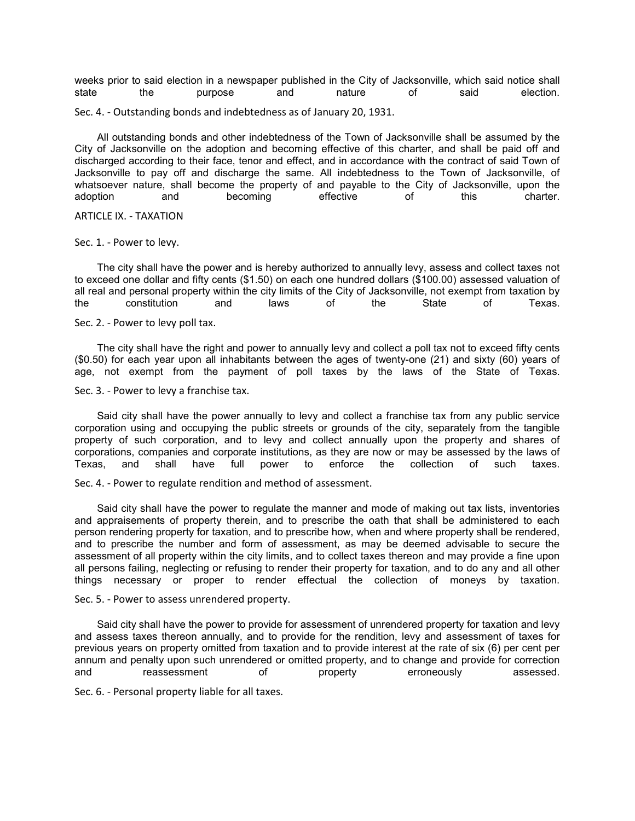weeks prior to said election in a newspaper published in the City of Jacksonville, which said notice shall state the purpose and nature of said election.

Sec. 4. - Outstanding bonds and indebtedness as of January 20, 1931.

All outstanding bonds and other indebtedness of the Town of Jacksonville shall be assumed by the City of Jacksonville on the adoption and becoming effective of this charter, and shall be paid off and discharged according to their face, tenor and effect, and in accordance with the contract of said Town of Jacksonville to pay off and discharge the same. All indebtedness to the Town of Jacksonville, of whatsoever nature, shall become the property of and payable to the City of Jacksonville, upon the adoption and becoming effective of this charter.

ARTICLE IX. - TAXATION

Sec. 1. - Power to levy.

The city shall have the power and is hereby authorized to annually levy, assess and collect taxes not to exceed one dollar and fifty cents (\$1.50) on each one hundred dollars (\$100.00) assessed valuation of all real and personal property within the city limits of the City of Jacksonville, not exempt from taxation by the constitution and laws of the State of Texas.

Sec. 2. - Power to levy poll tax.

The city shall have the right and power to annually levy and collect a poll tax not to exceed fifty cents (\$0.50) for each year upon all inhabitants between the ages of twenty-one (21) and sixty (60) years of age, not exempt from the payment of poll taxes by the laws of the State of Texas.

Sec. 3. - Power to levy a franchise tax.

Said city shall have the power annually to levy and collect a franchise tax from any public service corporation using and occupying the public streets or grounds of the city, separately from the tangible property of such corporation, and to levy and collect annually upon the property and shares of corporations, companies and corporate institutions, as they are now or may be assessed by the laws of Texas, and shall have full power to enforce the collection of such taxes.

Sec. 4. - Power to regulate rendition and method of assessment.

Said city shall have the power to regulate the manner and mode of making out tax lists, inventories and appraisements of property therein, and to prescribe the oath that shall be administered to each person rendering property for taxation, and to prescribe how, when and where property shall be rendered, and to prescribe the number and form of assessment, as may be deemed advisable to secure the assessment of all property within the city limits, and to collect taxes thereon and may provide a fine upon all persons failing, neglecting or refusing to render their property for taxation, and to do any and all other things necessary or proper to render effectual the collection of moneys by taxation.

Sec. 5. - Power to assess unrendered property.

Said city shall have the power to provide for assessment of unrendered property for taxation and levy and assess taxes thereon annually, and to provide for the rendition, levy and assessment of taxes for previous years on property omitted from taxation and to provide interest at the rate of six (6) per cent per annum and penalty upon such unrendered or omitted property, and to change and provide for correction and reassessment of property erroneously assessed.

Sec. 6. - Personal property liable for all taxes.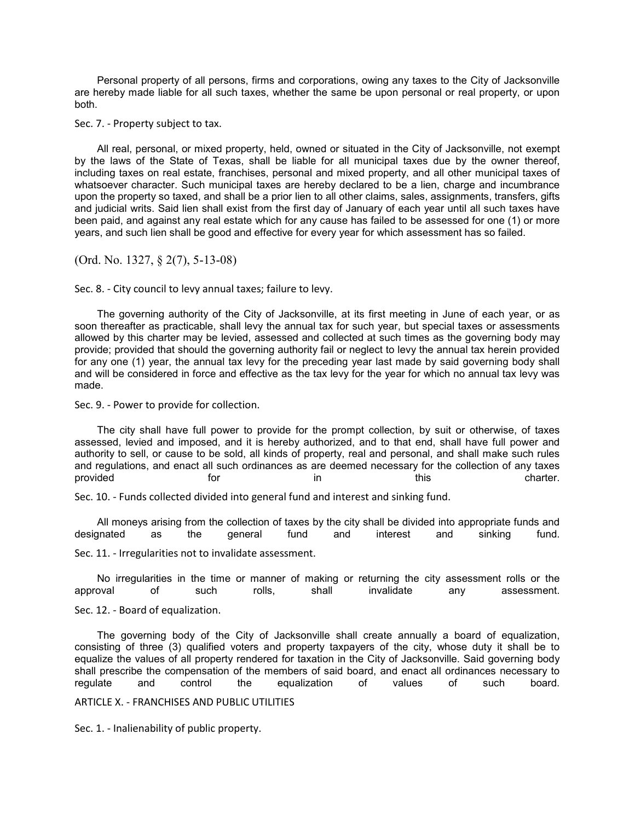Personal property of all persons, firms and corporations, owing any taxes to the City of Jacksonville are hereby made liable for all such taxes, whether the same be upon personal or real property, or upon both.

Sec. 7. - Property subject to tax.

All real, personal, or mixed property, held, owned or situated in the City of Jacksonville, not exempt by the laws of the State of Texas, shall be liable for all municipal taxes due by the owner thereof, including taxes on real estate, franchises, personal and mixed property, and all other municipal taxes of whatsoever character. Such municipal taxes are hereby declared to be a lien, charge and incumbrance upon the property so taxed, and shall be a prior lien to all other claims, sales, assignments, transfers, gifts and judicial writs. Said lien shall exist from the first day of January of each year until all such taxes have been paid, and against any real estate which for any cause has failed to be assessed for one (1) or more years, and such lien shall be good and effective for every year for which assessment has so failed.

(Ord. No. 1327, § 2(7), 5-13-08)

Sec. 8. - City council to levy annual taxes; failure to levy.

The governing authority of the City of Jacksonville, at its first meeting in June of each year, or as soon thereafter as practicable, shall levy the annual tax for such year, but special taxes or assessments allowed by this charter may be levied, assessed and collected at such times as the governing body may provide; provided that should the governing authority fail or neglect to levy the annual tax herein provided for any one (1) year, the annual tax levy for the preceding year last made by said governing body shall and will be considered in force and effective as the tax levy for the year for which no annual tax levy was made.

Sec. 9. - Power to provide for collection.

The city shall have full power to provide for the prompt collection, by suit or otherwise, of taxes assessed, levied and imposed, and it is hereby authorized, and to that end, shall have full power and authority to sell, or cause to be sold, all kinds of property, real and personal, and shall make such rules and regulations, and enact all such ordinances as are deemed necessary for the collection of any taxes<br>for this this charter. provided for for in this this charter.

Sec. 10. - Funds collected divided into general fund and interest and sinking fund.

All moneys arising from the collection of taxes by the city shall be divided into appropriate funds and designated as the general fund and interest and sinking fund. Sec. 11. - Irregularities not to invalidate assessment.

No irregularities in the time or manner of making or returning the city assessment rolls or the<br>oval of such colls, shall invalidate any assessment. approval of such rolls, shall invalidate any assessment.

Sec. 12. - Board of equalization.

The governing body of the City of Jacksonville shall create annually a board of equalization, consisting of three (3) qualified voters and property taxpayers of the city, whose duty it shall be to equalize the values of all property rendered for taxation in the City of Jacksonville. Said governing body shall prescribe the compensation of the members of said board, and enact all ordinances necessary to regulate and control the equalization of values of such board.

ARTICLE X. - FRANCHISES AND PUBLIC UTILITIES

Sec. 1. - Inalienability of public property.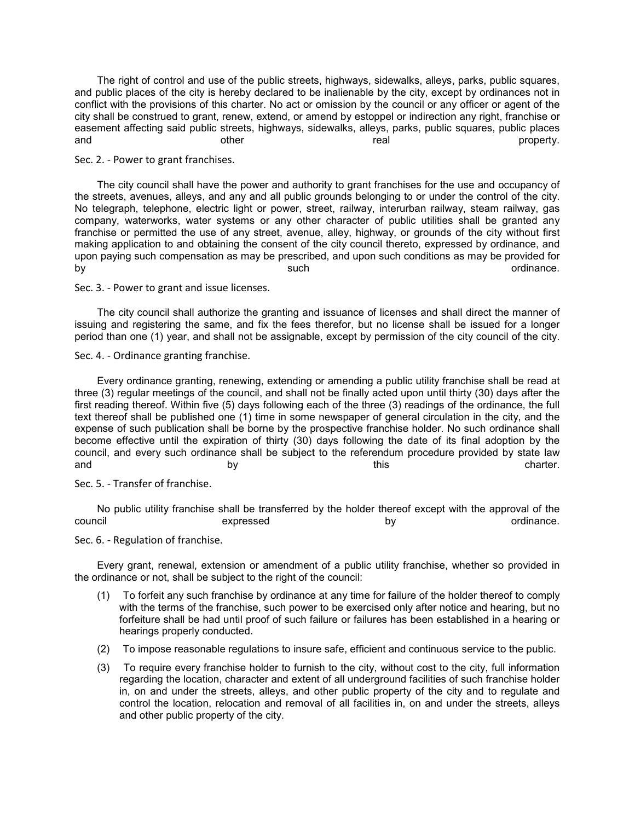The right of control and use of the public streets, highways, sidewalks, alleys, parks, public squares, and public places of the city is hereby declared to be inalienable by the city, except by ordinances not in conflict with the provisions of this charter. No act or omission by the council or any officer or agent of the city shall be construed to grant, renew, extend, or amend by estoppel or indirection any right, franchise or easement affecting said public streets, highways, sidewalks, alleys, parks, public squares, public places and the contract other the contract of the contract of the contract of the contract of the contract of the con

Sec. 2. - Power to grant franchises.

The city council shall have the power and authority to grant franchises for the use and occupancy of the streets, avenues, alleys, and any and all public grounds belonging to or under the control of the city. No telegraph, telephone, electric light or power, street, railway, interurban railway, steam railway, gas company, waterworks, water systems or any other character of public utilities shall be granted any franchise or permitted the use of any street, avenue, alley, highway, or grounds of the city without first making application to and obtaining the consent of the city council thereto, expressed by ordinance, and upon paying such compensation as may be prescribed, and upon such conditions as may be provided for by the contract of the such that is such a such a such a such a such a such a such a such a such a such a such

Sec. 3. - Power to grant and issue licenses.

The city council shall authorize the granting and issuance of licenses and shall direct the manner of issuing and registering the same, and fix the fees therefor, but no license shall be issued for a longer period than one (1) year, and shall not be assignable, except by permission of the city council of the city.

Sec. 4. - Ordinance granting franchise.

Every ordinance granting, renewing, extending or amending a public utility franchise shall be read at three (3) regular meetings of the council, and shall not be finally acted upon until thirty (30) days after the first reading thereof. Within five (5) days following each of the three (3) readings of the ordinance, the full text thereof shall be published one (1) time in some newspaper of general circulation in the city, and the expense of such publication shall be borne by the prospective franchise holder. No such ordinance shall become effective until the expiration of thirty (30) days following the date of its final adoption by the council, and every such ordinance shall be subject to the referendum procedure provided by state law and this charter. The by this charter of the charter.

Sec. 5. - Transfer of franchise.

No public utility franchise shall be transferred by the holder thereof except with the approval of the council expressed by ordinance.

Sec. 6. - Regulation of franchise.

Every grant, renewal, extension or amendment of a public utility franchise, whether so provided in the ordinance or not, shall be subject to the right of the council:

- (1) To forfeit any such franchise by ordinance at any time for failure of the holder thereof to comply with the terms of the franchise, such power to be exercised only after notice and hearing, but no forfeiture shall be had until proof of such failure or failures has been established in a hearing or hearings properly conducted.
- (2) To impose reasonable regulations to insure safe, efficient and continuous service to the public.
- (3) To require every franchise holder to furnish to the city, without cost to the city, full information regarding the location, character and extent of all underground facilities of such franchise holder in, on and under the streets, alleys, and other public property of the city and to regulate and control the location, relocation and removal of all facilities in, on and under the streets, alleys and other public property of the city.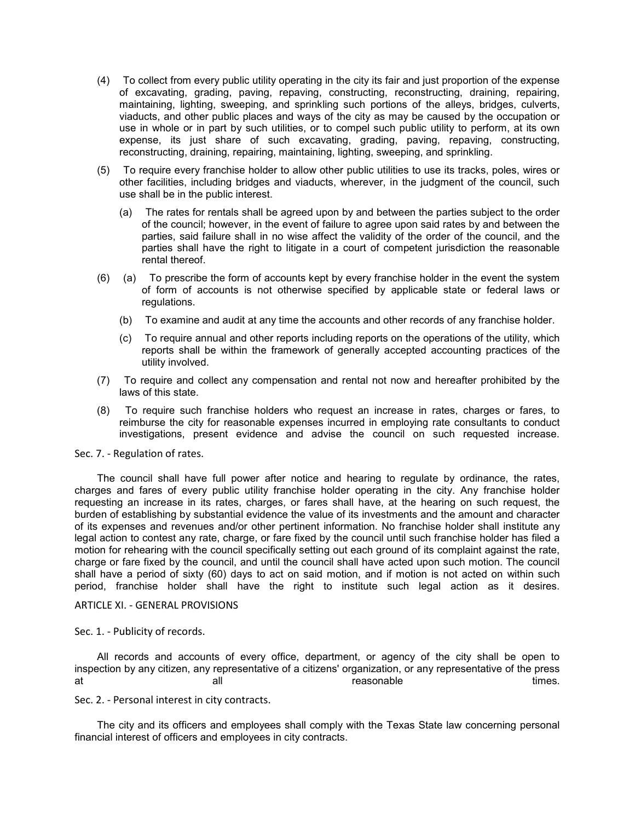- (4) To collect from every public utility operating in the city its fair and just proportion of the expense of excavating, grading, paving, repaving, constructing, reconstructing, draining, repairing, maintaining, lighting, sweeping, and sprinkling such portions of the alleys, bridges, culverts, viaducts, and other public places and ways of the city as may be caused by the occupation or use in whole or in part by such utilities, or to compel such public utility to perform, at its own expense, its just share of such excavating, grading, paving, repaving, constructing, reconstructing, draining, repairing, maintaining, lighting, sweeping, and sprinkling.
- (5) To require every franchise holder to allow other public utilities to use its tracks, poles, wires or other facilities, including bridges and viaducts, wherever, in the judgment of the council, such use shall be in the public interest.
	- (a) The rates for rentals shall be agreed upon by and between the parties subject to the order of the council; however, in the event of failure to agree upon said rates by and between the parties, said failure shall in no wise affect the validity of the order of the council, and the parties shall have the right to litigate in a court of competent jurisdiction the reasonable rental thereof.
- (6) (a) To prescribe the form of accounts kept by every franchise holder in the event the system of form of accounts is not otherwise specified by applicable state or federal laws or regulations.
	- (b) To examine and audit at any time the accounts and other records of any franchise holder.
	- (c) To require annual and other reports including reports on the operations of the utility, which reports shall be within the framework of generally accepted accounting practices of the utility involved.
- (7) To require and collect any compensation and rental not now and hereafter prohibited by the laws of this state.
- (8) To require such franchise holders who request an increase in rates, charges or fares, to reimburse the city for reasonable expenses incurred in employing rate consultants to conduct investigations, present evidence and advise the council on such requested increase.

Sec. 7. - Regulation of rates.

The council shall have full power after notice and hearing to regulate by ordinance, the rates, charges and fares of every public utility franchise holder operating in the city. Any franchise holder requesting an increase in its rates, charges, or fares shall have, at the hearing on such request, the burden of establishing by substantial evidence the value of its investments and the amount and character of its expenses and revenues and/or other pertinent information. No franchise holder shall institute any legal action to contest any rate, charge, or fare fixed by the council until such franchise holder has filed a motion for rehearing with the council specifically setting out each ground of its complaint against the rate, charge or fare fixed by the council, and until the council shall have acted upon such motion. The council shall have a period of sixty (60) days to act on said motion, and if motion is not acted on within such period, franchise holder shall have the right to institute such legal action as it desires.

ARTICLE XI. - GENERAL PROVISIONS

Sec. 1. - Publicity of records.

All records and accounts of every office, department, or agency of the city shall be open to inspection by any citizen, any representative of a citizens' organization, or any representative of the press at and all all the set of the set of the set of the set of the set of the set of the set of the set of the set

Sec. 2. - Personal interest in city contracts.

The city and its officers and employees shall comply with the Texas State law concerning personal financial interest of officers and employees in city contracts.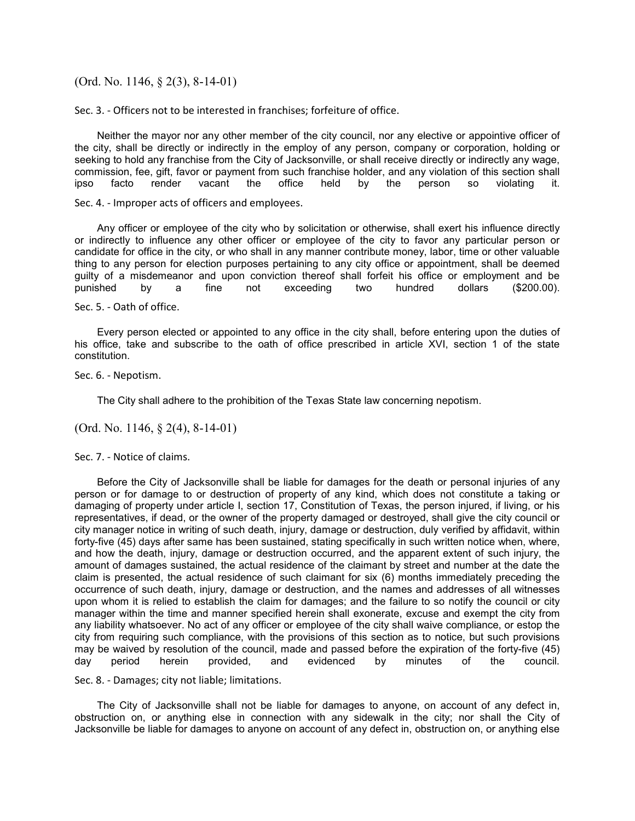# (Ord. No. 1146, § 2(3), 8-14-01)

Sec. 3. - Officers not to be interested in franchises; forfeiture of office.

Neither the mayor nor any other member of the city council, nor any elective or appointive officer of the city, shall be directly or indirectly in the employ of any person, company or corporation, holding or seeking to hold any franchise from the City of Jacksonville, or shall receive directly or indirectly any wage, commission, fee, gift, favor or payment from such franchise holder, and any violation of this section shall ipso facto render vacant the office held by the person so violating it.

Sec. 4. - Improper acts of officers and employees.

Any officer or employee of the city who by solicitation or otherwise, shall exert his influence directly or indirectly to influence any other officer or employee of the city to favor any particular person or candidate for office in the city, or who shall in any manner contribute money, labor, time or other valuable thing to any person for election purposes pertaining to any city office or appointment, shall be deemed guilty of a misdemeanor and upon conviction thereof shall forfeit his office or employment and be punished by a fine not exceeding two hundred dollars (\$200.00).

Sec. 5. - Oath of office.

Every person elected or appointed to any office in the city shall, before entering upon the duties of his office, take and subscribe to the oath of office prescribed in article XVI, section 1 of the state constitution.

Sec. 6. - Nepotism.

The City shall adhere to the prohibition of the Texas State law concerning nepotism.

(Ord. No. 1146, § 2(4), 8-14-01)

Sec. 7. - Notice of claims.

Before the City of Jacksonville shall be liable for damages for the death or personal injuries of any person or for damage to or destruction of property of any kind, which does not constitute a taking or damaging of property under article I, section 17, Constitution of Texas, the person injured, if living, or his representatives, if dead, or the owner of the property damaged or destroyed, shall give the city council or city manager notice in writing of such death, injury, damage or destruction, duly verified by affidavit, within forty-five (45) days after same has been sustained, stating specifically in such written notice when, where, and how the death, injury, damage or destruction occurred, and the apparent extent of such injury, the amount of damages sustained, the actual residence of the claimant by street and number at the date the claim is presented, the actual residence of such claimant for six (6) months immediately preceding the occurrence of such death, injury, damage or destruction, and the names and addresses of all witnesses upon whom it is relied to establish the claim for damages; and the failure to so notify the council or city manager within the time and manner specified herein shall exonerate, excuse and exempt the city from any liability whatsoever. No act of any officer or employee of the city shall waive compliance, or estop the city from requiring such compliance, with the provisions of this section as to notice, but such provisions may be waived by resolution of the council, made and passed before the expiration of the forty-five (45)<br>day period herein provided, and evidenced by minutes of the council. day period herein provided, and evidenced by minutes of the council.

Sec. 8. - Damages; city not liable; limitations.

The City of Jacksonville shall not be liable for damages to anyone, on account of any defect in, obstruction on, or anything else in connection with any sidewalk in the city; nor shall the City of Jacksonville be liable for damages to anyone on account of any defect in, obstruction on, or anything else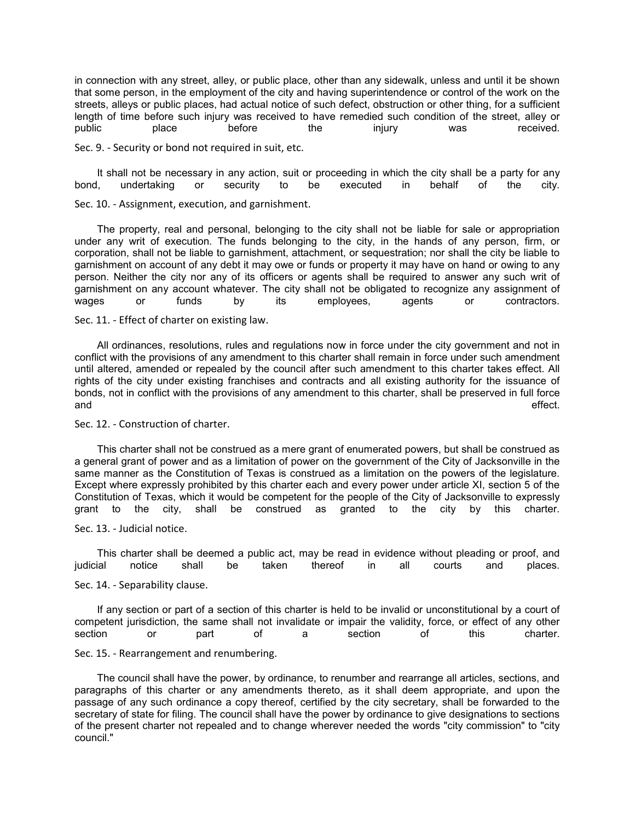in connection with any street, alley, or public place, other than any sidewalk, unless and until it be shown that some person, in the employment of the city and having superintendence or control of the work on the streets, alleys or public places, had actual notice of such defect, obstruction or other thing, for a sufficient length of time before such injury was received to have remedied such condition of the street, alley or public place before the injury was received.

Sec. 9. - Security or bond not required in suit, etc.

It shall not be necessary in any action, suit or proceeding in which the city shall be a party for any<br>I, undertaking or security to be executed in behalf of the city. bond, undertaking or security to be executed in behalf of the city.

Sec. 10. - Assignment, execution, and garnishment.

The property, real and personal, belonging to the city shall not be liable for sale or appropriation under any writ of execution. The funds belonging to the city, in the hands of any person, firm, or corporation, shall not be liable to garnishment, attachment, or sequestration; nor shall the city be liable to garnishment on account of any debt it may owe or funds or property it may have on hand or owing to any person. Neither the city nor any of its officers or agents shall be required to answer any such writ of garnishment on any account whatever. The city shall not be obligated to recognize any assignment of wages or funds by its employees, agents or contractors. Sec. 11. - Effect of charter on existing law.

All ordinances, resolutions, rules and regulations now in force under the city government and not in conflict with the provisions of any amendment to this charter shall remain in force under such amendment until altered, amended or repealed by the council after such amendment to this charter takes effect. All rights of the city under existing franchises and contracts and all existing authority for the issuance of bonds, not in conflict with the provisions of any amendment to this charter, shall be preserved in full force and effect. The contract of the contract of the contract of the contract of the contract of the contract of the contract of the contract of the contract of the contract of the contract of the contract of the contract of th

Sec. 12. - Construction of charter.

This charter shall not be construed as a mere grant of enumerated powers, but shall be construed as a general grant of power and as a limitation of power on the government of the City of Jacksonville in the same manner as the Constitution of Texas is construed as a limitation on the powers of the legislature. Except where expressly prohibited by this charter each and every power under article XI, section 5 of the Constitution of Texas, which it would be competent for the people of the City of Jacksonville to expressly grant to the city, shall be construed as granted to the city by this charter.

Sec. 13. - Judicial notice.

This charter shall be deemed a public act, may be read in evidence without pleading or proof, and judicial notice shall be taken thereof in all courts and places. Sec. 14. - Separability clause.

If any section or part of a section of this charter is held to be invalid or unconstitutional by a court of competent jurisdiction, the same shall not invalidate or impair the validity, force, or effect of any other section or part of a section of this charter. Sec. 15. - Rearrangement and renumbering.

The council shall have the power, by ordinance, to renumber and rearrange all articles, sections, and paragraphs of this charter or any amendments thereto, as it shall deem appropriate, and upon the passage of any such ordinance a copy thereof, certified by the city secretary, shall be forwarded to the secretary of state for filing. The council shall have the power by ordinance to give designations to sections of the present charter not repealed and to change wherever needed the words "city commission" to "city council."